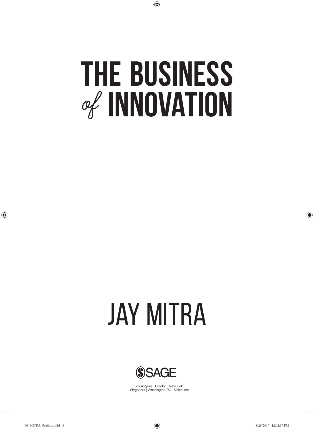# **The Business** of **Innovation**

# Jay Mitra



Los Angeles | London | New Delhi<br>Singapore | Washington DC | Melbourne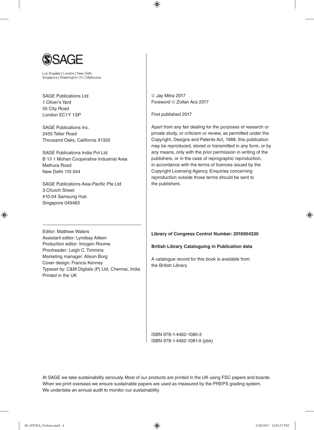

Los Angeles | London | New Delhi Singapore | Washington DC | Melbourne

SAGE Publications Ltd 1 Oliver's Yard 55 City Road London EC1Y 1SP

SAGE Publications Inc. 2455 Teller Road Thousand Oaks, California 91320

SAGE Publications India Pvt Ltd B 1/I 1 Mohan Cooperative Industrial Area Mathura Road New Delhi 110 044

SAGE Publications Asia-Pacific Pte Ltd 3 Church Street #10-04 Samsung Hub Singapore 049483

 Jay Mitra 2017 Foreword © Zoltan Acs 2017

First published 2017

Apart from any fair dealing for the purposes of research or private study, or criticism or review, as permitted under the Copyright, Designs and Patents Act, 1988, this publication may be reproduced, stored or transmitted in any form, or by any means, only with the prior permission in writing of the publishers, or in the case of reprographic reproduction, in accordance with the terms of licences issued by the Copyright Licensing Agency. Enquiries concerning reproduction outside those terms should be sent to the publishers.

#### **Library of Congress Control Number: 2016954330**

**British Library Cataloguing in Publication data**

A catalogue record for this book is available from the British Library

ISBN 978-1-4462-1080-2 ISBN 978-1-4462-1081-9 (pbk)

At SAGE we take sustainability seriously. Most of our products are printed in the UK using FSC papers and boards. When we print overseas we ensure sustainable papers are used as measured by the PREPS grading system. We undertake an annual audit to monitor our sustainability.

Editor: Matthew Waters Assistant editor: Lyndsay Aitken Production editor: Imogen Roome Proofreader: Leigh C. Timmins Marketing manager: Alison Borg Cover design: Francis Kenney Typeset by: C&M Digitals (P) Ltd, Chennai, India Printed in the UK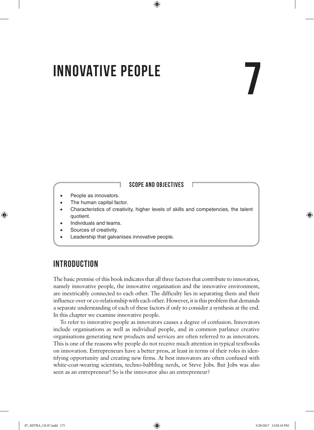## **7 Innovative People**

### **SCOPE AND OBJECTIVES**

- People as innovators.
- The human capital factor.
- Characteristics of creativity, higher levels of skills and competencies, the talent quotient.
- Individuals and teams.
- Sources of creativity.
- Leadership that galvanises innovative people.

## **INTRODUCTION**

The basic premise of this book indicates that all three factors that contribute to innovation, namely innovative people, the innovative organisation and the innovative environment, are inextricably connected to each other. The difficulty lies in separating them and their influence over or co-relationship with each other. However, it is this problem that demands a separate understanding of each of these factors if only to consider a synthesis at the end. In this chapter we examine innovative people.

To refer to innovative people as innovators causes a degree of confusion. Innovators include organisations as well as individual people, and in common parlance creative organisations generating new products and services are often referred to as innovators. This is one of the reasons why people do not receive much attention in typical textbooks on innovation. Entrepreneurs have a better press, at least in terms of their roles in identifying opportunity and creating new firms. At best innovators are often confused with white-coat-wearing scientists, techno-babbling nerds, or Steve Jobs. But Jobs was also seen as an entrepreneur! So is the innovator also an entrepreneur?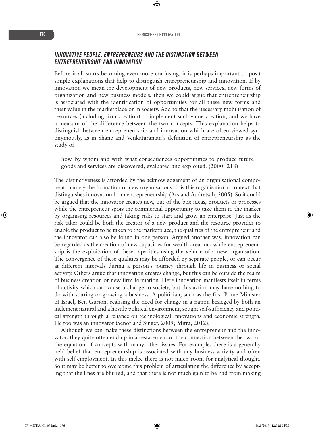### **Innovative People, Entrepreneurs and the Distinction Between Entrepreneurship and Innovation**

Before it all starts becoming even more confusing, it is perhaps important to posit simple explanations that help to distinguish entrepreneurship and innovation. If by innovation we mean the development of new products, new services, new forms of organization and new business models, then we could argue that entrepreneurship is associated with the identification of opportunities for all these new forms and their value in the marketplace or in society. Add to that the necessary mobilisation of resources (including firm creation) to implement such value creation, and we have a measure of the difference between the two concepts. This explanation helps to distinguish between entrepreneurship and innovation which are often viewed synonymously, as in Shane and Venkataraman's definition of entrepreneurship as the study of

how, by whom and with what consequences opportunities to produce future goods and services are discovered, evaluated and exploited. (2000: 218)

The distinctiveness is afforded by the acknowledgement of an organisational component, namely the formation of new organisations. It is this organisational context that distinguishes innovation from entrepreneurship (Acs and Audretsch, 2005). So it could be argued that the innovator creates new, out-of-the-box ideas, products or processes while the entrepreneur spots the commercial opportunity to take them to the market by organising resources and taking risks to start and grow an enterprise. Just as the risk taker could be both the creator of a new product and the resource provider to enable the product to be taken to the marketplace, the qualities of the entrepreneur and the innovator can also be found in one person. Argued another way, innovation can be regarded as the creation of new capacities for wealth creation, while entrepreneurship is the exploitation of these capacities using the vehicle of a new organisation. The convergence of these qualities may be afforded by separate people, or can occur at different intervals during a person's journey through life in business or social activity. Others argue that innovation creates change, but this can be outside the realm of business creation or new firm formation. Here innovation manifests itself in terms of activity which can cause a change to society, but this action may have nothing to do with starting or growing a business. A politician, such as the first Prime Minister of Israel, Ben Gurion, realising the need for change in a nation besieged by both an inclement natural and a hostile political environment, sought self-sufficiency and political strength through a reliance on technological innovations and economic strength. He too was an innovator (Senor and Singer, 2009; Mitra, 2012).

Although we can make these distinctions between the entrepreneur and the innovator, they quite often end up in a restatement of the connection between the two or the equation of concepts with many other issues. For example, there is a generally held belief that entrepreneurship is associated with any business activity and often with self-employment. In this melee there is not much room for analytical thought. So it may be better to overcome this problem of articulating the difference by accepting that the lines are blurred, and that there is not much gain to be had from making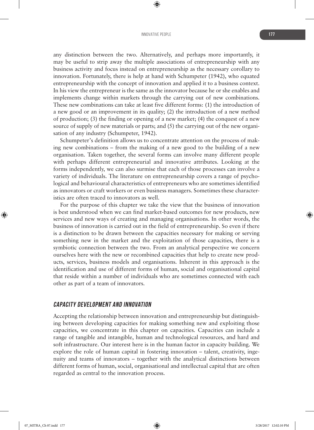#### Innovative People **177**

any distinction between the two. Alternatively, and perhaps more importantly, it may be useful to strip away the multiple associations of entrepreneurship with any business activity and focus instead on entrepreneurship as the necessary corollary to innovation. Fortunately, there is help at hand with Schumpeter (1942), who equated entrepreneurship with the concept of innovation and applied it to a business context. In his view the entrepreneur is the same as the innovator because he or she enables and implements change within markets through the carrying out of new combinations. These new combinations can take at least five different forms: (1) the introduction of a new good or an improvement in its quality; (2) the introduction of a new method of production; (3) the finding or opening of a new market; (4) the conquest of a new source of supply of new materials or parts; and (5) the carrying out of the new organisation of any industry (Schumpeter, 1942).

Schumpeter's definition allows us to concentrate attention on the process of making new combinations – from the making of a new good to the building of a new organisation. Taken together, the several forms can involve many different people with perhaps different entrepreneurial and innovative attributes. Looking at the forms independently, we can also surmise that each of those processes can involve a variety of individuals. The literature on entrepreneurship covers a range of psychological and behavioural characteristics of entrepreneurs who are sometimes identified as innovators or craft workers or even business managers. Sometimes these characteristics are often traced to innovators as well.

For the purpose of this chapter we take the view that the business of innovation is best understood when we can find market-based outcomes for new products, new services and new ways of creating and managing organisations. In other words, the business of innovation is carried out in the field of entrepreneurship. So even if there is a distinction to be drawn between the capacities necessary for making or serving something new in the market and the exploitation of those capacities, there is a symbiotic connection between the two. From an analytical perspective we concern ourselves here with the new or recombined capacities that help to create new products, services, business models and organisations. Inherent in this approach is the identification and use of different forms of human, social and organisational capital that reside within a number of individuals who are sometimes connected with each other as part of a team of innovators.

#### **Capacity Development and Innovation**

Accepting the relationship between innovation and entrepreneurship but distinguishing between developing capacities for making something new and exploiting those capacities, we concentrate in this chapter on capacities. Capacities can include a range of tangible and intangible, human and technological resources, and hard and soft infrastructure. Our interest here is in the human factor in capacity building. We explore the role of human capital in fostering innovation – talent, creativity, ingenuity and teams of innovators – together with the analytical distinctions between different forms of human, social, organisational and intellectual capital that are often regarded as central to the innovation process.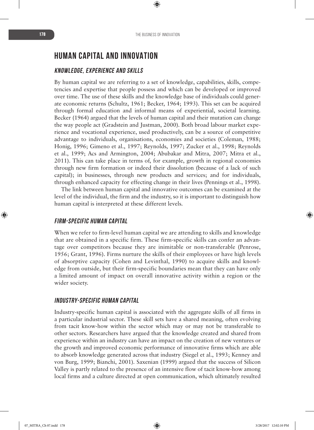## **HUMAN CAPITAL AND INNOVATION**

#### **Knowledge, Experience and Skills**

By human capital we are referring to a set of knowledge, capabilities, skills, competencies and expertise that people possess and which can be developed or improved over time. The use of these skills and the knowledge base of individuals could generate economic returns (Schultz, 1961; Becker, 1964; 1993). This set can be acquired through formal education and informal means of experiential, societal learning. Becker (1964) argued that the levels of human capital and their mutation can change the way people act (Gradstein and Justman, 2000). Both broad labour market experience and vocational experience, used productively, can be a source of competitive advantage to individuals, organisations, economies and societies (Coleman, 1988; Honig, 1996; Gimeno et al., 1997; Reynolds, 1997; Zucker et al., 1998; Reynolds et al., 1999; Acs and Armington, 2004; Abubakar and Mitra, 2007; Mitra et al., 2011). This can take place in terms of, for example, growth in regional economies through new firm formation or indeed their dissolution (because of a lack of such capital); in businesses, through new products and services; and for individuals, through enhanced capacity for effecting change in their lives (Pennings et al., 1998).

The link between human capital and innovative outcomes can be examined at the level of the individual, the firm and the industry, so it is important to distinguish how human capital is interpreted at these different levels.

#### **Firm-Specific Human Capital**

When we refer to firm-level human capital we are attending to skills and knowledge that are obtained in a specific firm. These firm-specific skills can confer an advantage over competitors because they are inimitable or non-transferable (Penrose, 1956; Grant, 1996). Firms nurture the skills of their employees or have high levels of absorptive capacity (Cohen and Levinthal, 1990) to acquire skills and knowledge from outside, but their firm-specific boundaries mean that they can have only a limited amount of impact on overall innovative activity within a region or the wider society.

#### **Industry-Specific Human Capital**

Industry-specific human capital is associated with the aggregate skills of all firms in a particular industrial sector. These skill sets have a shared meaning, often evolving from tacit know-how within the sector which may or may not be transferable to other sectors. Researchers have argued that the knowledge created and shared from experience within an industry can have an impact on the creation of new ventures or the growth and improved economic performance of innovative firms which are able to absorb knowledge generated across that industry (Siegel et al., 1993; Kenney and von Burg, 1999; Bianchi, 2001). Saxenian (1999) argued that the success of Silicon Valley is partly related to the presence of an intensive flow of tacit know-how among local firms and a culture directed at open communication, which ultimately resulted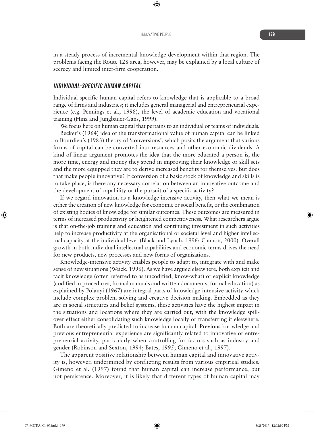in a steady process of incremental knowledge development within that region. The problems facing the Route 128 area, however, may be explained by a local culture of secrecy and limited inter-firm cooperation.

#### **Individual-Specific Human Capital**

Individual-specific human capital refers to knowledge that is applicable to a broad range of firms and industries; it includes general managerial and entrepreneurial experience (e.g. Pennings et al., 1998), the level of academic education and vocational training (Hinz and Jungbauer-Gans, 1999).

We focus here on human capital that pertains to an individual or teams of individuals. Becker's (1964) idea of the transformational value of human capital can be linked to Bourdieu's (1983) theory of 'conversions', which posits the argument that various forms of capital can be converted into resources and other economic dividends. A kind of linear argument promotes the idea that the more educated a person is, the more time, energy and money they spend in improving their knowledge or skill sets and the more equipped they are to derive increased benefits for themselves. But does that make people innovative? If conversion of a basic stock of knowledge and skills is to take place, is there any necessary correlation between an innovative outcome and

If we regard innovation as a knowledge-intensive activity, then what we mean is either the creation of new knowledge for economic or social benefit, or the combination of existing bodies of knowledge for similar outcomes. These outcomes are measured in terms of increased productivity or heightened competitiveness. What researchers argue is that on-the-job training and education and continuing investment in such activities help to increase productivity at the organisational or societal level and higher intellectual capacity at the individual level (Black and Lynch, 1996; Cannon, 2000). Overall growth in both individual intellectual capabilities and economic terms drives the need for new products, new processes and new forms of organisations.

the development of capability or the pursuit of a specific activity?

Knowledge-intensive activity enables people to adapt to, integrate with and make sense of new situations (Weick, 1996). As we have argued elsewhere, both explicit and tacit knowledge (often referred to as uncodified, know-what) or explicit knowledge (codified in procedures, formal manuals and written documents, formal education) as explained by Polanyi (1967) are integral parts of knowledge-intensive activity which include complex problem solving and creative decision making. Embedded as they are in social structures and belief systems, these activities have the highest impact in the situations and locations where they are carried out, with the knowledge spillover effect either consolidating such knowledge locally or transferring it elsewhere. Both are theoretically predicted to increase human capital. Previous knowledge and previous entrepreneurial experience are significantly related to innovative or entrepreneurial activity, particularly when controlling for factors such as industry and gender (Robinson and Sexton, 1994; Bates, 1995; Gimeno et al., 1997).

The apparent positive relationship between human capital and innovative activity is, however, undermined by conflicting results from various empirical studies. Gimeno et al. (1997) found that human capital can increase performance, but not persistence. Moreover, it is likely that different types of human capital may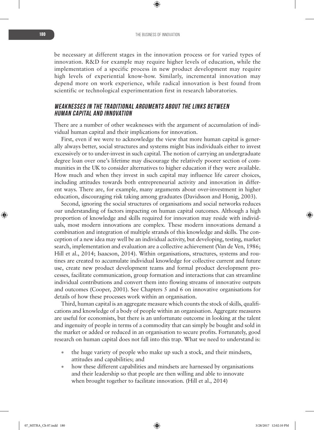be necessary at different stages in the innovation process or for varied types of innovation. R&D for example may require higher levels of education, while the implementation of a specific process in new product development may require high levels of experiential know-how. Similarly, incremental innovation may depend more on work experience, while radical innovation is best found from scientific or technological experimentation first in research laboratories.

#### **Weaknesses in the Traditional Arguments about the Links Between Human Capital and Innovation**

There are a number of other weaknesses with the argument of accumulation of individual human capital and their implications for innovation.

First, even if we were to acknowledge the view that more human capital is generally always better, social structures and systems might bias individuals either to invest excessively or to under-invest in such capital. The notion of carrying an undergraduate degree loan over one's lifetime may discourage the relatively poorer section of communities in the UK to consider alternatives to higher education if they were available. How much and when they invest in such capital may influence life career choices, including attitudes towards both entrepreneurial activity and innovation in different ways. There are, for example, many arguments about over-investment in higher education, discouraging risk taking among graduates (Davidsson and Honig, 2003).

Second, ignoring the social structures of organisations and social networks reduces our understanding of factors impacting on human capital outcomes. Although a high proportion of knowledge and skills required for innovation may reside with individuals, most modern innovations are complex. These modern innovations demand a combination and integration of multiple strands of this knowledge and skills. The conception of a new idea may well be an individual activity, but developing, testing, market search, implementation and evaluation are a collective achievement (Van de Ven, 1986; Hill et al., 2014; Isaacson, 2014). Within organisations, structures, systems and routines are created to accumulate individual knowledge for collective current and future use, create new product development teams and formal product development processes, facilitate communication, group formation and interactions that can streamline individual contributions and convert them into flowing streams of innovative outputs and outcomes (Cooper, 2001). See Chapters 5 and 6 on innovative organisations for details of how these processes work within an organisation.

Third, human capital is an aggregate measure which counts the stock of skills, qualifications and knowledge of a body of people within an organisation. Aggregate measures are useful for economists, but there is an unfortunate outcome in looking at the talent and ingenuity of people in terms of a commodity that can simply be bought and sold in the market or added or reduced in an organisation to secure profits. Fortunately, good research on human capital does not fall into this trap. What we need to understand is:

- the huge variety of people who make up such a stock, and their mindsets, attitudes and capabilities; and
- how these different capabilities and mindsets are harnessed by organisations and their leadership so that people are then willing and able to innovate when brought together to facilitate innovation. (Hill et al., 2014)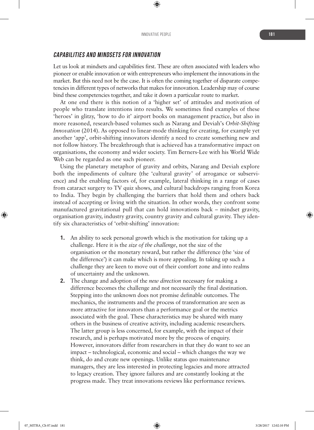#### **Capabilities and Mindsets for Innovation**

Let us look at mindsets and capabilities first. These are often associated with leaders who pioneer or enable innovation or with entrepreneurs who implement the innovations in the market. But this need not be the case. It is often the coming together of disparate competencies in different types of networks that makes for innovation. Leadership may of course bind these competencies together, and take it down a particular route to market.

At one end there is this notion of a 'higher set' of attitudes and motivation of people who translate intentions into results. We sometimes find examples of these 'heroes' in glitzy, 'how to do it' airport books on management practice, but also in more reasoned, research-based volumes such as Narang and Deviah's *Orbit-Shifting Innovation* (2014). As opposed to linear-mode thinking for creating, for example yet another 'app', orbit-shifting innovators identify a need to create something new and not follow history. The breakthrough that is achieved has a transformative impact on organisations, the economy and wider society. Tim Berners-Lee with his World Wide Web can be regarded as one such pioneer.

Using the planetary metaphor of gravity and orbits, Narang and Deviah explore both the impediments of culture (the 'cultural gravity' of arrogance or subservience) and the enabling factors of, for example, lateral thinking in a range of cases from cataract surgery to TV quiz shows, and cultural backdrops ranging from Korea to India. They begin by challenging the barriers that hold them and others back instead of accepting or living with the situation. In other words, they confront some manufactured gravitational pull that can hold innovations back – mindset gravity, organisation gravity, industry gravity, country gravity and cultural gravity. They identify six characteristics of 'orbit-shifting' innovation:

- **1.** An ability to seek personal growth which is the motivation for taking up a challenge. Here it is the *size of the challenge*, not the size of the organisation or the monetary reward, but rather the difference (the 'size of the difference') it can make which is more appealing. In taking up such a challenge they are keen to move out of their comfort zone and into realms of uncertainty and the unknown.
- **2.** The change and adoption of the *new direction* necessary for making a difference becomes the challenge and not necessarily the final destination. Stepping into the unknown does not promise definable outcomes. The mechanics, the instruments and the process of transformation are seen as more attractive for innovators than a performance goal or the metrics associated with the goal. These characteristics may be shared with many others in the business of creative activity, including academic researchers. The latter group is less concerned, for example, with the impact of their research, and is perhaps motivated more by the process of enquiry. However, innovators differ from researchers in that they do want to see an impact – technological, economic and social – which changes the way we think, do and create new openings. Unlike status quo maintenance managers, they are less interested in protecting legacies and more attracted to legacy creation. They ignore failures and are constantly looking at the progress made. They treat innovations reviews like performance reviews.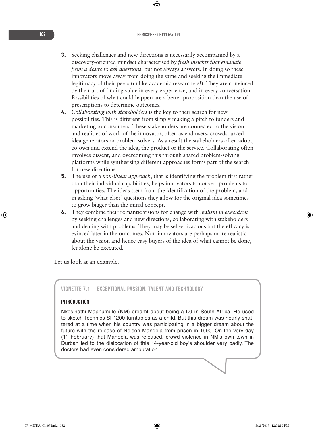- **3.** Seeking challenges and new directions is necessarily accompanied by a discovery-oriented mindset characterised by *fresh insights that emanate from a desire to ask questions*, but not always answers. In doing so these innovators move away from doing the same and seeking the immediate legitimacy of their peers (unlike academic researchers!). They are convinced by their art of finding value in every experience, and in every conversation. Possibilities of what could happen are a better proposition than the use of prescriptions to determine outcomes.
- **4.** *Collaborating with stakeholders* is the key to their search for new possibilities. This is different from simply making a pitch to funders and marketing to consumers. These stakeholders are connected to the vision and realities of work of the innovator, often as end users, crowdsourced idea generators or problem solvers. As a result the stakeholders often adopt, co-own and extend the idea, the product or the service. Collaborating often involves dissent, and overcoming this through shared problem-solving platforms while synthesising different approaches forms part of the search for new directions.
- **5.** The use of a *non-linear approach*, that is identifying the problem first rather than their individual capabilities, helps innovators to convert problems to opportunities. The ideas stem from the identification of the problem, and in asking 'what-else?' questions they allow for the original idea sometimes to grow bigger than the initial concept.
- **6.** They combine their romantic visions for change with *realism in execution* by seeking challenges and new directions, collaborating with stakeholders and dealing with problems. They may be self-efficacious but the efficacy is evinced later in the outcomes. Non-innovators are perhaps more realistic about the vision and hence easy buyers of the idea of what cannot be done, let alone be executed.

Let us look at an example.

**VIGNETTE 7.1 EXCEPTIONAL PASSION, TALENT AND TECHNOLOGY**

#### **Introduction**

Nkosinathi Maphumulo (NM) dreamt about being a DJ in South Africa. He used to sketch Technics Sl-1200 turntables as a child. But this dream was nearly shattered at a time when his country was participating in a bigger dream about the future with the release of Nelson Mandela from prison in 1990. On the very day (11 February) that Mandela was released, crowd violence in NM's own town in Durban led to the dislocation of this 14-year-old boy's shoulder very badly. The doctors had even considered amputation.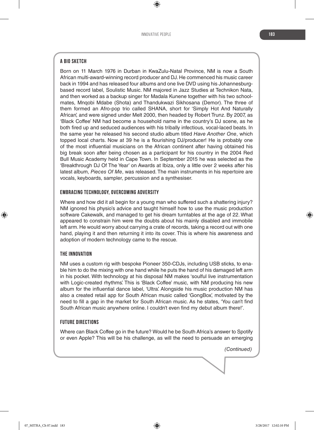#### **A Bio Sketch**

Born on 11 March 1976 in Durban in KwaZulu-Natal Province, NM is now a South African multi-award-winning record producer and DJ. He commenced his music career back in 1994 and has released four albums and one live DVD using his Johannesburgbased record label, Soulistic Music. NM majored in Jazz Studies at Technikon Nata, and then worked as a backup singer for Madala Kunene together with his two schoolmates, Mnqobi Mdabe (Shota) and Thandukwazi Sikhosana (Demor). The three of them formed an Afro-pop trio called SHANA, short for 'Simply Hot And Naturally African', and were signed under Melt 2000, then headed by Robert Trunz. By 2007, as 'Black Coffee' NM had become a household name in the country's DJ scene, as he both fired up and seduced audiences with his tribally infectious, vocal-laced beats. In the same year he released his second studio album titled *Have Another One*, which topped local charts. Now at 39 he is a flourishing DJ/producer! He is probably one of the most influential musicians on the African continent after having obtained his big break soon after being chosen as a participant for his country in the 2004 Red Bull Music Academy held in Cape Town. In September 2015 he was selected as the 'Breakthrough DJ Of The Year' on Awards at Ibiza, only a little over 2 weeks after his latest album, *Pieces Of Me*, was released. The main instruments in his repertoire are vocals, keyboards, sampler, percussion and a synthesiser.

#### **Embracing Technology, Overcoming Adversity**

Where and how did it all begin for a young man who suffered such a shattering injury? NM ignored his physio's advice and taught himself how to use the music production software Cakewalk, and managed to get his dream turntables at the age of 22. What appeared to constrain him were the doubts about his mainly disabled and immobile left arm. He would worry about carrying a crate of records, taking a record out with one hand, playing it and then returning it into its cover. This is where his awareness and adoption of modern technology came to the rescue.

#### **The Innovation**

NM uses a custom rig with bespoke Pioneer 350-CDJs, including USB sticks, to enable him to do the mixing with one hand while he puts the hand of his damaged left arm in his pocket. With technology at his disposal NM makes 'soulful live instrumentation with Logic-created rhythms'. This is 'Black Coffee' music, with NM producing his new album for the influential dance label, 'Ultra'. Alongside his music production NM has also a created retail app for South African music called 'GongBox', motivated by the need to fill a gap in the market for South African music. As he states, 'You can't find South African music anywhere online. I couldn't even find my debut album there!'.

#### **Future Directions**

Where can Black Coffee go in the future? Would he be South Africa's answer to Spotify or even Apple? This will be his challenge, as will the need to persuade an emerging

*(Continued)*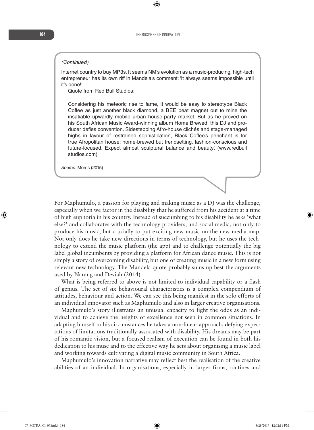#### *(Continued)*

Internet country to buy MP3s. It seems NM's evolution as a music-producing, high-tech entrepreneur has its own riff in Mandela's comment: 'It always seems impossible until it's done!'

Quote from Red Bull Studios:

Considering his meteoric rise to fame, it would be easy to stereotype Black Coffee as just another black diamond, a BEE beat magnet out to mine the insatiable upwardly mobile urban house-party market. But as he proved on his South African Music Award-winning album Home Brewed, this DJ and producer defies convention. Sidestepping Afro-house clichés and stage-managed highs in favour of restrained sophistication, Black Coffee's penchant is for true Afropolitan house: home-brewed but trendsetting, fashion-conscious and future-focused. Expect almost sculptural balance and beauty'. (www.redbull studios.com)

*Source*: Morris (2015)

For Maphumulo, a passion for playing and making music as a DJ was the challenge, especially when we factor in the disability that he suffered from his accident at a time of high euphoria in his country. Instead of succumbing to his disability he asks 'what else?' and collaborates with the technology providers, and social media, not only to produce his music, but crucially to put exciting new music on the new media map. Not only does he take new directions in terms of technology, but he uses the technology to extend the music platform (the app) and to challenge potentially the big label global incumbents by providing a platform for African dance music. This is not simply a story of overcoming disability, but one of creating music in a new form using relevant new technology. The Mandela quote probably sums up best the arguments used by Narang and Deviah (2014).

What is being referred to above is not limited to individual capability or a flash of genius. The set of six behavioural characteristics is a complex compendium of attitudes, behaviour and action. We can see this being manifest in the solo efforts of an individual innovator such as Maphumulo and also in larger creative organisations.

Maphumulo's story illustrates an unusual capacity to fight the odds as an individual and to achieve the heights of excellence not seen in common situations. In adapting himself to his circumstances he takes a non-linear approach, defying expectations of limitations traditionally associated with disability. His dreams may be part of his romantic vision, but a focused realism of execution can be found in both his dedication to his muse and to the effective way he sets about organising a music label and working towards cultivating a digital music community in South Africa.

Maphumulo's innovation narrative may reflect best the realisation of the creative abilities of an individual. In organisations, especially in larger firms, routines and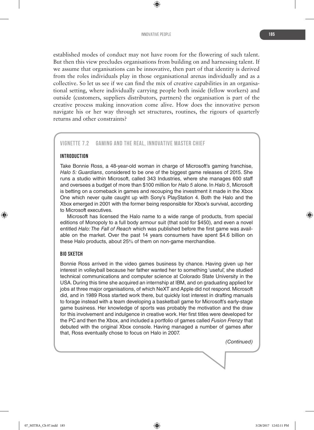established modes of conduct may not have room for the flowering of such talent. But then this view precludes organisations from building on and harnessing talent. If we assume that organisations can be innovative, then part of that identity is derived from the roles individuals play in those organisational arenas individually and as a collective. So let us see if we can find the mix of creative capabilities in an organisational setting, where individually carrying people both inside (fellow workers) and outside (customers, suppliers distributors, partners) the organisation is part of the creative process making innovation come alive. How does the innovative person navigate his or her way through set structures, routines, the rigours of quarterly returns and other constraints?

#### **VIGNETTE 7.2 GAMING AND THE REAL, INNOVATIVE MASTER CHIEF**

#### **Introduction**

Take Bonnie Ross, a 48-year-old woman in charge of Microsoft's gaming franchise, *Halo 5: Guardians*, considered to be one of the biggest game releases of 2015. She runs a studio within Microsoft, called 343 Industries, where she manages 600 staff and oversees a budget of more than \$100 million for *Halo 5* alone. In *Halo 5*, Microsoft is betting on a comeback in games and recouping the investment it made in the Xbox One which never quite caught up with Sony's PlayStation 4. Both the Halo and the Xbox emerged in 2001 with the former being responsible for Xbox's survival, according to Microsoft executives.

Microsoft has licensed the Halo name to a wide range of products, from special editions of Monopoly to a full body armour suit (that sold for \$450), and even a novel entitled *Halo: The Fall of Reach* which was published before the first game was available on the market. Over the past 14 years consumers have spent \$4.6 billion on these Halo products, about 25% of them on non-game merchandise.

#### **Bio Sketch**

Bonnie Ross arrived in the video games business by chance. Having given up her interest in volleyball because her father wanted her to something 'useful', she studied technical communications and computer science at Colorado State University in the USA. During this time she acquired an internship at IBM, and on graduating applied for jobs at three major organisations, of which NeXT and Apple did not respond. Microsoft did, and in 1989 Ross started work there, but quickly lost interest in drafting manuals to forage instead with a team developing a basketball game for Microsoft's early-stage game business. Her knowledge of sports was probably the motivation and the draw for this involvement and indulgence in creative work. Her first titles were developed for the PC and then the Xbox, and included a portfolio of games called *Fusion Frenzy* that debuted with the original Xbox console. Having managed a number of games after that, Ross eventually chose to focus on Halo in 2007.

*(Continued)*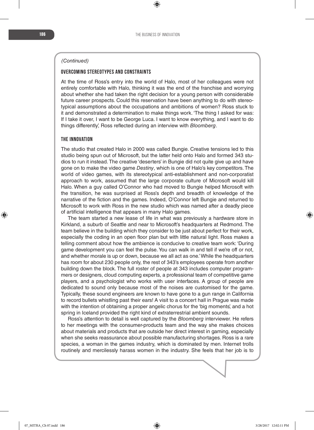#### *(Continued)*

#### **Overcoming Stereotypes and Constraints**

At the time of Ross's entry into the world of Halo, most of her colleagues were not entirely comfortable with Halo, thinking it was the end of the franchise and worrying about whether she had taken the right decision for a young person with considerable future career prospects. Could this reservation have been anything to do with stereotypical assumptions about the occupations and ambitions of women? Ross stuck to it and demonstrated a determination to make things work. 'The thing I asked for was: If I take it over, I want to be George Luca. I want to know everything, and I want to do things differently', Ross reflected during an interview with *Bloomberg*.

#### **The Innovation**

The studio that created Halo in 2000 was called Bungie. Creative tensions led to this studio being spun out of Microsoft, but the latter held onto Halo and formed 343 studios to run it instead. The creative 'deserters' in Bungie did not quite give up and have gone on to make the video game *Destiny*, which is one of Halo's key competitors. The world of video games, with its stereotypical anti-establishment and non-corporatist approach to work, assumed that the large corporate culture of Microsoft would kill Halo. When a guy called O'Connor who had moved to Bungie helped Microsoft with the transition, he was surprised at Ross's depth and breadth of knowledge of the narrative of the fiction and the games. Indeed, O'Connor left Bungie and returned to Microsoft to work with Ross in the new studio which was named after a deadly piece of artificial intelligence that appears in many Halo games.

The team started a new lease of life in what was previously a hardware store in Kirkland, a suburb of Seattle and near to Microsoft's headquarters at Redmond. The team believe in the building which they consider to be just about perfect for their work, especially the coding in an open floor plan but with little natural light. Ross makes a telling comment about how the ambience is conducive to creative team work: 'During game development you can feel the pulse. You can walk in and tell if we're off or not, and whether morale is up or down, because we all act as one.' While the headquarters has room for about 230 people only, the rest of 343's employees operate from another building down the block. The full roster of people at 343 includes computer programmers or designers, cloud computing experts, a professional team of competitive game players, and a psychologist who works with user interfaces. A group of people are dedicated to sound only because most of the noises are customised for the game. Typically, these sound engineers are known to have gone to a gun range in California to record bullets whistling past their ears! A visit to a concert hall in Prague was made with the intention of obtaining a proper angelic chorus for the 'big moments', and a hot spring in Iceland provided the right kind of extraterrestrial ambient sounds.

Ross's attention to detail is well captured by the *Bloomberg* interviewer. He refers to her meetings with the consumer-products team and the way she makes choices about materials and products that are outside her direct interest in gaming, especially when she seeks reassurance about possible manufacturing shortages. Ross is a rare species, a woman in the games industry, which is dominated by men. Internet trolls routinely and mercilessly harass women in the industry. She feels that her job is to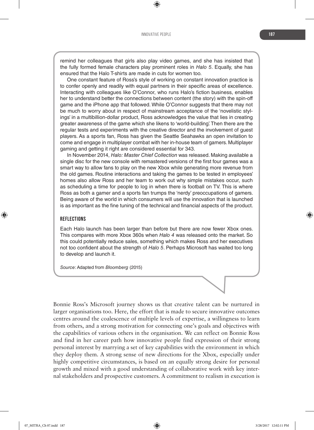remind her colleagues that girls also play video games, and she has insisted that the fully formed female characters play prominent roles in *Halo 5*. Equally, she has ensured that the Halo T-shirts are made in cuts for women too.

One constant feature of Ross's style of working on constant innovation practice is to confer openly and readily with equal partners in their specific areas of excellence. Interacting with colleagues like O'Connor, who runs Halo's fiction business, enables her to understand better the connections between content (the story) with the spin-off game and the iPhone app that followed. While O'Connor suggests that there may not be much to worry about in respect of mainstream acceptance of the 'novelistic stylings' in a multibillion-dollar product, Ross acknowledges the value that lies in creating greater awareness of the game which she likens to 'world-building'. Then there are the regular tests and experiments with the creative director and the involvement of guest players. As a sports fan, Ross has given the Seattle Seahawks an open invitation to come and engage in multiplayer combat with her in-house team of gamers. Multiplayer gaming and getting it right are considered essential for 343.

In November 2014, *Halo: Master Chief Collection* was released. Making available a single disc for the new console with remastered versions of the first four games was a smart way to allow fans to play on the new Xbox while generating more revenue from the old games. Routine interactions and taking the games to be tested in employees' homes also allow Ross and her team to work out why simple mistakes occur, such as scheduling a time for people to log in when there is football on TV. This is where Ross as both a gamer and a sports fan trumps the 'nerdy' preoccupations of gamers. Being aware of the world in which consumers will use the innovation that is launched is as important as the fine tuning of the technical and financial aspects of the product.

#### **Reflections**

Each Halo launch has been larger than before but there are now fewer Xbox ones. This compares with more Xbox 360s when *Halo 4* was released onto the market. So this could potentially reduce sales, something which makes Ross and her executives not too confident about the strength of *Halo 5*. Perhaps Microsoft has waited too long to develop and launch it.

*Source*: Adapted from *Bloomberg* (2015)

Bonnie Ross's Microsoft journey shows us that creative talent can be nurtured in larger organisations too. Here, the effort that is made to secure innovative outcomes centres around the coalescence of multiple levels of expertise, a willingness to learn from others, and a strong motivation for connecting one's goals and objectives with the capabilities of various others in the organisation. We can reflect on Bonnie Ross and find in her career path how innovative people find expression of their strong personal interest by marrying a set of key capabilities with the environment in which they deploy them. A strong sense of new directions for the Xbox, especially under highly competitive circumstances, is based on an equally strong desire for personal growth and mixed with a good understanding of collaborative work with key internal stakeholders and prospective customers. A commitment to realism in execution is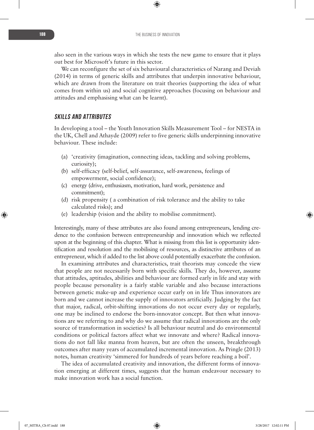also seen in the various ways in which she tests the new game to ensure that it plays out best for Microsoft's future in this sector.

We can reconfigure the set of six behavioural characteristics of Narang and Deviah (2014) in terms of generic skills and attributes that underpin innovative behaviour, which are drawn from the literature on trait theories (supporting the idea of what comes from within us) and social cognitive approaches (focusing on behaviour and attitudes and emphasising what can be learnt).

#### **Skills and Attributes**

In developing a tool – the Youth Innovation Skills Measurement Tool – for NESTA in the UK, Chell and Athayde (2009) refer to five generic skills underpinning innovative behaviour. These include:

- (a) 'creativity (imagination, connecting ideas, tackling and solving problems, curiosity);
- (b) self-efficacy (self-belief, self-assurance, self-awareness, feelings of empowerment, social confidence);
- (c) energy (drive, enthusiasm, motivation, hard work, persistence and commitment);
- (d) risk propensity ( a combination of risk tolerance and the ability to take calculated risks); and
- (e) leadership (vision and the ability to mobilise commitment).

Interestingly, many of these attributes are also found among entrepreneurs, lending credence to the confusion between entrepreneurship and innovation which we reflected upon at the beginning of this chapter. What is missing from this list is opportunity identification and resolution and the mobilising of resources, as distinctive attributes of an entrepreneur, which if added to the list above could potentially exacerbate the confusion.

In examining attributes and characteristics, trait theorists may concede the view that people are not necessarily born with specific skills. They do, however, assume that attitudes, aptitudes, abilities and behaviour are formed early in life and stay with people because personality is a fairly stable variable and also because interactions between genetic make-up and experience occur early on in life Thus innovators are born and we cannot increase the supply of innovators artificially. Judging by the fact that major, radical, orbit-shifting innovations do not occur every day or regularly, one may be inclined to endorse the born-innovator concept. But then what innovations are we referring to and why do we assume that radical innovations are the only source of transformation in societies? Is all behaviour neutral and do environmental conditions or political factors affect what we innovate and where? Radical innovations do not fall like manna from heaven, but are often the unseen, breakthrough outcomes after many years of accumulated incremental innovation. As Pringle (2013) notes, human creativity 'simmered for hundreds of years before reaching a boil'.

The idea of accumulated creativity and innovation, the different forms of innovation emerging at different times, suggests that the human endeavour necessary to make innovation work has a social function.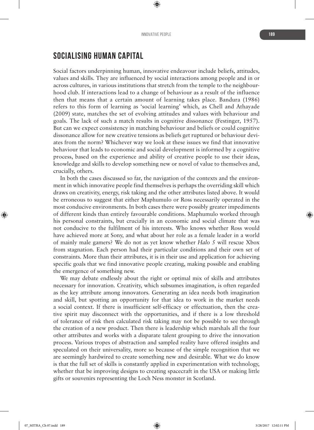## **SOCIALISING HUMAN CAPITAL**

Social factors underpinning human, innovative endeavour include beliefs, attitudes, values and skills. They are influenced by social interactions among people and in or across cultures, in various institutions that stretch from the temple to the neighbourhood club. If interactions lead to a change of behaviour as a result of the influence then that means that a certain amount of learning takes place. Bandura (1986) refers to this form of learning as 'social learning' which, as Chell and Athayade (2009) state, matches the set of evolving attitudes and values with behaviour and goals. The lack of such a match results in cognitive dissonance (Festinger, 1957). But can we expect consistency in matching behaviour and beliefs or could cognitive dissonance allow for new creative tensions as beliefs get ruptured or behaviour deviates from the norm? Whichever way we look at these issues we find that innovative behaviour that leads to economic and social development is informed by a cognitive process, based on the experience and ability of creative people to use their ideas, knowledge and skills to develop something new or novel of value to themselves and, crucially, others.

In both the cases discussed so far, the navigation of the contexts and the environment in which innovative people find themselves is perhaps the overriding skill which draws on creativity, energy, risk taking and the other attributes listed above. It would be erroneous to suggest that either Maphumulo or Ross necessarily operated in the most conducive environments. In both cases there were possibly greater impediments of different kinds than entirely favourable conditions. Maphumulo worked through his personal constraints, but crucially in an economic and social climate that was not conducive to the fulfilment of his interests. Who knows whether Ross would have achieved more at Sony, and what about her role as a female leader in a world of mainly male gamers? We do not as yet know whether *Halo 5* will rescue Xbox from stagnation. Each person had their particular conditions and their own set of constraints. More than their attributes, it is in their use and application for achieving specific goals that we find innovative people creating, making possible and enabling the emergence of something new.

We may debate endlessly about the right or optimal mix of skills and attributes necessary for innovation. Creativity, which subsumes imagination, is often regarded as the key attribute among innovators. Generating an idea needs both imagination and skill, but spotting an opportunity for that idea to work in the market needs a social context. If there is insufficient self-efficacy or effectuation, then the creative spirit may disconnect with the opportunities, and if there is a low threshold of tolerance of risk then calculated risk taking may not be possible to see through the creation of a new product. Then there is leadership which marshals all the four other attributes and works with a disparate talent grouping to drive the innovation process. Various tropes of abstraction and sampled reality have offered insights and speculated on their universality, more so because of the simple recognition that we are seemingly hardwired to create something new and desirable. What we do know is that the full set of skills is constantly applied in experimentation with technology, whether that be improving designs to creating spacecraft in the USA or making little gifts or souvenirs representing the Loch Ness monster in Scotland.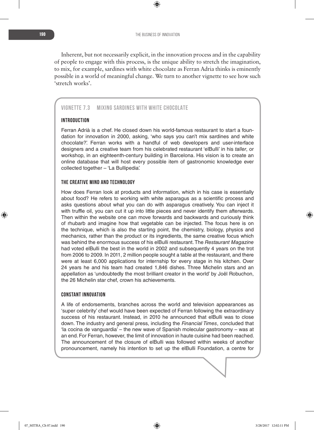Inherent, but not necessarily explicit, in the innovation process and in the capability of people to engage with this process, is the unique ability to stretch the imagination, to mix, for example, sardines with white chocolate as Ferran Adria thinks is eminently possible in a world of meaningful change. We turn to another vignette to see how such 'stretch works'.

#### **VIGNETTE 7.3 MIXING SARDINES WITH WHITE CHOCOLATE**

#### **Introduction**

Ferran Adrià is a chef. He closed down his world-famous restaurant to start a foundation for innovation in 2000, asking, 'who says you can't mix sardines and white chocolate?'. Ferran works with a handful of web developers and user-interface designers and a creative team from his celebrated restaurant 'elBulli' in his *taller*, or workshop, in an eighteenth-century building in Barcelona. His vision is to create an online database that will host every possible item of gastronomic knowledge ever collected together – 'La Bullipedia'.

#### **The Creative Mind and Technology**

How does Ferran look at products and information, which in his case is essentially about food? He refers to working with white asparagus as a scientific process and asks questions about what you can do with asparagus creatively. You can inject it with truffle oil, you can cut it up into little pieces and never identify them afterwards. Then within the website one can move forwards and backwards and curiously think of rhubarb and imagine how that vegetable can be injected. The focus here is on the technique, which is also the starting point, the chemistry, biology, physics and mechanics, rather than the product or its ingredients, the same creative focus which was behind the enormous success of his elBulli restaurant. The *Restaurant Magazine* had voted elBulli the best in the world in 2002 and subsequently 4 years on the trot from 2006 to 2009. In 2011, 2 million people sought a table at the restaurant, and there were at least 6,000 applications for internship for every stage in his kitchen. Over 24 years he and his team had created 1,846 dishes. Three Michelin stars and an appellation as 'undoubtedly the most brilliant creator in the world' by Joël Robuchon, the 26 Michelin star chef, crown his achievements.

#### **Constant Innovation**

A life of endorsements, branches across the world and television appearances as 'super celebrity' chef would have been expected of Ferran following the extraordinary success of his restaurant. Instead, in 2010 he announced that elBulli was to close down. The industry and general press, including the *Financial Times*, concluded that 'la cocina de vanguardia' – the new wave of Spanish molecular gastronomy – was at an end. For Ferran, however, the limit of innovation in haute cuisine had been reached. The announcement of the closure of elBulli was followed within weeks of another pronouncement, namely his intention to set up the elBulli Foundation, a centre for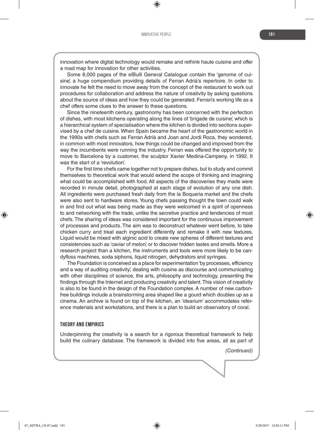innovation where digital technology would remake and rethink haute cuisine and offer a road map for innovation for other activities.

Some 8,000 pages of the elBulli General Catalogue contain the 'genome of cuisine', a huge compendium providing details of Ferran Adrià's repertoire. In order to innovate he felt the need to move away from the concept of the restaurant to work out procedures for collaboration and address the nature of creativity by asking questions about the source of ideas and how they could be generated. Ferran's working life as a chef offers some clues to the answer to these questions.

Since the nineteenth century, gastronomy has been concerned with the perfection of dishes, with most kitchens operating along the lines of 'brigade de cuisine', which is a hierarchical system of specialisation where the kitchen is divided into sections supervised by a chef de cuisine. When Spain became the heart of the gastronomic world in the 1990s with chefs such as Ferran Adrià and Joan and Jordi Roca, they wondered, in common with most innovators, how things could be changed and improved from the way the incumbents were running the industry. Ferran was offered the opportunity to move to Barcelona by a customer, the sculptor Xavier Medina-Campeny, in 1992. It was the start of a 'revolution'.

For the first time chefs came together not to prepare dishes, but to study and commit themselves to theoretical work that would extend the scope of thinking and imagining what could be accomplished with food. All aspects of the discoveries they made were recorded in minute detail, photographed at each stage of evolution of any one dish. All ingredients were purchased fresh daily from the la Boqueria market and the chefs were also sent to hardware stores. Young chefs passing thought the town could walk in and find out what was being made as they were welcomed in a spirit of openness to and networking with the trade, unlike the secretive practice and tendencies of most chefs. The sharing of ideas was considered important for the continuous improvement of processes and products. The aim was to deconstruct whatever went before, to take chicken curry and treat each ingredient differently and remake it with new textures. Liquid would be mixed with alginic acid to create new spheres of different textures and consistencies such as 'caviar of melon', or to discover hidden tastes and smells. More a research project than a kitchen, the instruments and tools were more likely to be candyfloss machines, soda siphons, liquid nitrogen, dehydrators and syringes.

The Foundation is conceived as a place for experimentation 'by processes, efficiency and a way of auditing creativity', dealing with cuisine as discourse and communicating with other disciplines of science, the arts, philosophy and technology, presenting the findings through the Internet and producing creativity and talent. This vision of creativity is also to be found in the design of the Foundation complex. A number of new carbonfree buildings include a brainstorming area shaped like a gourd which doubles up as a cinema. An archive is found on top of the kitchen, an 'idearium' accommodates reference materials and workstations, and there is a plan to build an observatory of coral.

#### **Theory and Empirics**

Underpinning the creativity is a search for a rigorous theoretical framework to help build the culinary database. The framework is divided into five areas, all as part of

*(Continued)*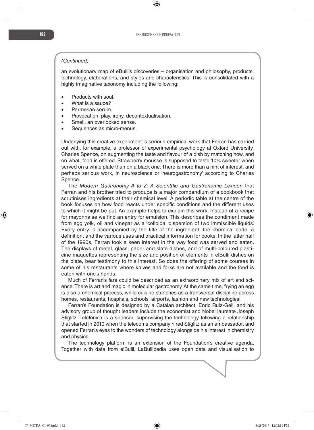#### *(Continued)*

an evolutionary map of eBulli's discoveries – organisation and philosophy, products, technology, elaborations, and styles and characteristics. This is consolidated with a highly imaginative taxonomy including the following:

- Products with soul.
- What is a sauce?
- Parmesan serum.
- Provocation, play, irony, decontextualisation.
- Smell, an overlooked sense.
- Sequences as micro-menus.

Underlying this creative experiment is serious empirical work that Ferran has carried out with, for example, a professor of experimental psychology at Oxford University, Charles Spence, on augmenting the taste and flavour of a dish by matching how, and on what, food is offered. Strawberry mousse is supposed to taste 10% sweeter when served on a white plate than on a black one. There is more than a hint of interest, and perhaps serious work, in neuroscience or 'neurogastronomy' according to Charles Spence.

The *Modern Gastronomy A to Z: A Scientific and Gastronomic Lexicon* that Ferran and his brother tried to produce is a major compendium of a cookbook that scrutinises ingredients at their chemical level. A periodic table at the centre of the book focuses on how food reacts under specific conditions and the different uses to which it might be put. An example helps to explain this work. Instead of a recipe for mayonnaise we find an entry for emulsion. This describes the condiment made from egg yolk, oil and vinegar as a 'colloidal dispersion of two immiscible liquids'. Every entry is accompanied by the title of the ingredient, the chemical code, a definition, and the various uses and practical information for cooks. In the latter half of the 1990s, Ferran took a keen interest in the way food was served and eaten. The displays of metal, glass, paper and slate dishes, and of multi-coloured plasticine maquettes representing the size and position of elements in elBulli dishes on the plate, bear testimony to this interest. So does the offering of some courses in some of his restaurants where knives and forks are not available and the food is eaten with one's hands.

Much of Ferran's fare could be described as an extraordinary mix of art and science. There is art and magic in molecular gastronomy. At the same time, frying an egg is also a chemical process, while cuisine stretches as a transversal discipline across homes, restaurants, hospitals, schools, airports, fashion and new technologies!

Ferran's Foundation is designed by a Catalan architect, Enric Ruiz-Geli, and his advisory group of thought leaders include the economist and Nobel laureate Joseph Stiglitz. Telefónica is a sponsor, supervising the technology following a relationship that started in 2010 when the telecoms company hired Stiglitz as an ambassador, and opened Ferran's eyes to the wonders of technology alongside his interest in chemistry and physics.

The technology platform is an extension of the Foundation's creative agenda. Together with data from elBulli, LaBullipedia uses open data and visualisation to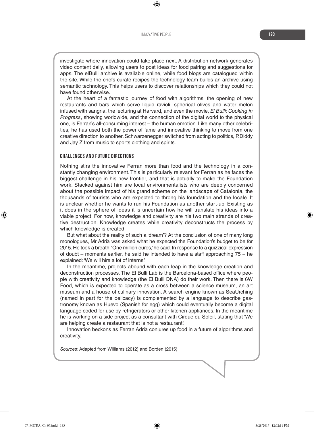investigate where innovation could take place next. A distribution network generates video content daily, allowing users to post ideas for food pairing and suggestions for apps. The elBulli archive is available online, while food blogs are catalogued within the site. While the chefs curate recipes the technology team builds an archive using semantic technology. This helps users to discover relationships which they could not have found otherwise.

At the heart of a fantastic journey of food with algorithms, the opening of new restaurants and bars which serve liquid ravioli, spherical olives and water melon infused with sangria, the lecturing at Harvard, and even the movie, *El Bulli: Cooking in Progress*, showing worldwide, and the connection of the digital world to the physical one, is Ferran's all-consuming interest – the human emotion. Like many other celebrities, he has used both the power of fame and innovative thinking to move from one creative direction to another. Schwarzenegger switched from acting to politics, P.Diddy and Jay Z from music to sports clothing and spirits.

#### **Challenges and Future Directions**

Nothing stirs the innovative Ferran more than food and the technology in a constantly changing environment. This is particularly relevant for Ferran as he faces the biggest challenge in his new frontier, and that is actually to make the Foundation work. Stacked against him are local environmentalists who are deeply concerned about the possible impact of his grand scheme on the landscape of Catalonia, the thousands of tourists who are expected to throng his foundation and the locale. It is unclear whether he wants to run his Foundation as another start-up. Existing as it does in the sphere of ideas it is uncertain how he will translate his ideas into a viable project. For now, knowledge and creativity are his two main strands of creative destruction. Knowledge creates while creativity deconstructs the process by which knowledge is created.

But what about the reality of such a 'dream'? At the conclusion of one of many long monologues, Mr Adrià was asked what he expected the Foundation's budget to be for 2015. He took a breath. 'One million euros,' he said. In response to a quizzical expression of doubt – moments earlier, he said he intended to have a staff approaching 75 – he explained: 'We will hire a lot of interns.'

In the meantime, projects abound with each leap in the knowledge creation and deconstruction processes. The El Bulli Lab is the Barcelona-based office where people with creativity and knowledge (the El Bulli DNA) do their work. Then there is 6W Food, which is expected to operate as a cross between a science museum, an art museum and a house of culinary innovation. A search engine known as SeaUrching (named in part for the delicacy) is complemented by a language to describe gastronomy known as Huevo (Spanish for egg) which could eventually become a digital language coded for use by refrigerators or other kitchen appliances. In the meantime he is working on a side project as a consultant with Cirque du Soleil, stating that 'We are helping create a restaurant that is not a restaurant.'

Innovation beckons as Ferran Adrià conjures up food in a future of algorithms and creativity.

*Sources*: Adapted from Williams (2012) and Borden (2015)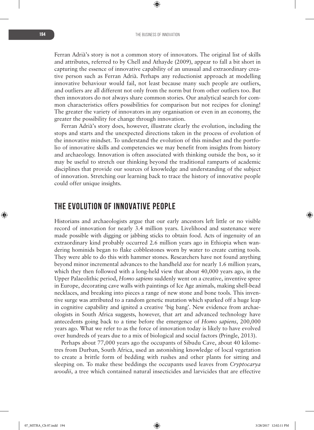Ferran Adrià's story is not a common story of innovators. The original list of skills and attributes, referred to by Chell and Athayde (2009), appear to fall a bit short in capturing the essence of innovative capability of an unusual and extraordinary creative person such as Ferran Adrià. Perhaps any reductionist approach at modelling innovative behaviour would fail, not least because many such people are outliers, and outliers are all different not only from the norm but from other outliers too. But then innovators do not always share common stories. Our analytical search for common characteristics offers possibilities for comparison but not recipes for cloning! The greater the variety of innovators in any organisation or even in an economy, the greater the possibility for change through innovation.

Ferran Adrià's story does, however, illustrate clearly the evolution, including the stops and starts and the unexpected directions taken in the process of evolution of the innovative mindset. To understand the evolution of this mindset and the portfolio of innovative skills and competencies we may benefit from insights from history and archaeology. Innovation is often associated with thinking outside the box, so it may be useful to stretch our thinking beyond the traditional ramparts of academic disciplines that provide our sources of knowledge and understanding of the subject of innovation. Stretching our learning back to trace the history of innovative people could offer unique insights.

## **THE EVOLUTION OF INNOVATIVE PEOPLE**

Historians and archaeologists argue that our early ancestors left little or no visible record of innovation for nearly 3.4 million years. Livelihood and sustenance were made possible with digging or jabbing sticks to obtain food. Acts of ingenuity of an extraordinary kind probably occurred 2.6 million years ago in Ethiopia when wandering hominids began to flake cobblestones worn by water to create cutting tools. They were able to do this with hammer stones. Researchers have not found anything beyond minor incremental advances to the handheld axe for nearly 1.6 million years, which they then followed with a long-held view that about 40,000 years ago, in the Upper Palaeolithic period, *Homo sapiens* suddenly went on a creative, inventive spree in Europe, decorating cave walls with paintings of Ice Age animals, making shell-bead necklaces, and breaking into pieces a range of new stone and bone tools. This inventive surge was attributed to a random genetic mutation which sparked off a huge leap in cognitive capability and ignited a creative 'big bang'. New evidence from archaeologists in South Africa suggests, however, that art and advanced technology have antecedents going back to a time before the emergence of *Homo sapiens*, 200,000 years ago. What we refer to as the force of innovation today is likely to have evolved over hundreds of years due to a mix of biological and social factors (Pringle, 2013).

Perhaps about 77,000 years ago the occupants of Sibudu Cave, about 40 kilometres from Durban, South Africa, used an astonishing knowledge of local vegetation to create a brittle form of bedding with rushes and other plants for sitting and sleeping on. To make these beddings the occupants used leaves from *Cryptocarya woodii*, a tree which contained natural insecticides and larvicides that are effective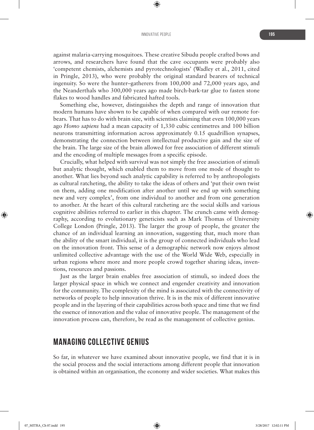against malaria-carrying mosquitoes. These creative Sibudu people crafted bows and arrows, and researchers have found that the cave occupants were probably also 'competent chemists, alchemists and pyrotechnologists' (Wadley et al., 2011, cited in Pringle, 2013), who were probably the original standard bearers of technical ingenuity. So were the hunter–gatherers from 100,000 and 72,000 years ago, and the Neanderthals who 300,000 years ago made birch-bark-tar glue to fasten stone flakes to wood handles and fabricated hafted tools.

Something else, however, distinguishes the depth and range of innovation that modern humans have shown to be capable of when compared with our remote forbears. That has to do with brain size, with scientists claiming that even 100,000 years ago *Homo sapiens* had a mean capacity of 1,330 cubic centimetres and 100 billion neurons transmitting information across approximately 0.15 quadrillion synapses, demonstrating the connection between intellectual productive gain and the size of the brain. The large size of the brain allowed for free association of different stimuli and the encoding of multiple messages from a specific episode.

Crucially, what helped with survival was not simply the free association of stimuli but analytic thought, which enabled them to move from one mode of thought to another. What lies beyond such analytic capability is referred to by anthropologists as cultural ratcheting, the ability to take the ideas of others and 'put their own twist on them, adding one modification after another until we end up with something new and very complex', from one individual to another and from one generation to another. At the heart of this cultural ratcheting are the social skills and various cognitive abilities referred to earlier in this chapter. The crunch came with demography, according to evolutionary geneticists such as Mark Thomas of University College London (Pringle, 2013). The larger the group of people, the greater the chance of an individual learning an innovation, suggesting that, much more than the ability of the smart individual, it is the group of connected individuals who lead on the innovation front. This sense of a demographic network now enjoys almost unlimited collective advantage with the use of the World Wide Web, especially in urban regions where more and more people crowd together sharing ideas, inventions, resources and passions.

Just as the larger brain enables free association of stimuli, so indeed does the larger physical space in which we connect and engender creativity and innovation for the community. The complexity of the mind is associated with the connectivity of networks of people to help innovation thrive. It is in the mix of different innovative people and in the layering of their capabilities across both space and time that we find the essence of innovation and the value of innovative people. The management of the innovation process can, therefore, be read as the management of collective genius.

## **MANAGING COLLECTIVE GENIUS**

So far, in whatever we have examined about innovative people, we find that it is in the social process and the social interactions among different people that innovation is obtained within an organisation, the economy and wider societies. What makes this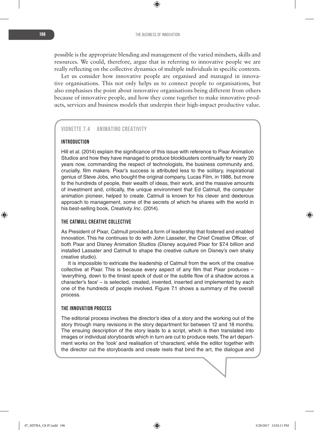possible is the appropriate blending and management of the varied mindsets, skills and resources. We could, therefore, argue that in referring to innovative people we are really reflecting on the collective dynamics of multiple individuals in specific contexts.

Let us consider how innovative people are organised and managed in innovative organisations. This not only helps us to connect people to organisations, but also emphasises the point about innovative organisations being different from others because of innovative people, and how they come together to make innovative products, services and business models that underpin their high-impact productive value.

#### **VIGNETTE 7.4 ANIMATING CREATIVITY**

#### **Introduction**

Hill et al. (2014) explain the significance of this issue with reference to Pixar Animation Studios and how they have managed to produce blockbusters continually for nearly 20 years now, commanding the respect of technologists, the business community and, crucially, film makers. Pixar's success is attributed less to the solitary, inspirational genius of Steve Jobs, who bought the original company, Lucas Film, in 1986, but more to the hundreds of people, their wealth of ideas, their work, and the massive amounts of investment and, critically, the unique environment that Ed Catmull, the computer animation pioneer, helped to create. Catmull is known for his clever and dexterous approach to management, some of the secrets of which he shares with the world in his best-selling book, *Creativity Inc*. (2014).

#### **The Catmull Creative Collective**

As President of Pixar, Catmull provided a form of leadership that fostered and enabled innovation. This he continues to do with John Lasseter, the Chief Creative Officer, of both Pixar and Disney Animation Studios (Disney acquired Pixar for \$7.4 billion and installed Lassater and Catmull to shape the creative culture on Disney's own shaky creative studio).

It is impossible to extricate the leadership of Catmull from the work of the creative collective at Pixar. This is because every aspect of any film that Pixar produces – 'everything, down to the tiniest speck of dust or the subtle flow of a shadow across a character's face' – is selected, created, invented, inserted and implemented by each one of the hundreds of people involved. Figure 7.1 shows a summary of the overall process.

#### **The Innovation Process**

The editorial process involves the director's idea of a story and the working out of the story through many revisions in the story department for between 12 and 18 months. The ensuing description of the story leads to a script, which is then translated into images or individual storyboards which in turn are cut to produce reels. The art department works on the 'look' and realisation of 'characters', while the editor together with the director cut the storyboards and create reels that bind the art, the dialogue and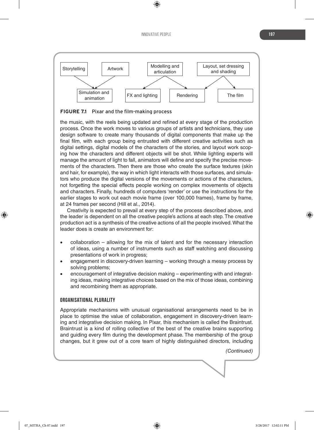

#### **FIGURE 7.1** Pixar and the film-making process

the music, with the reels being updated and refined at every stage of the production process. Once the work moves to various groups of artists and technicians, they use design software to create many thousands of digital components that make up the final film, with each group being entrusted with different creative activities such as digital settings, digital models of the characters of the stories, and layout work scoping how the characters and different objects will be shot. While lighting experts will manage the amount of light to fall, animators will define and specify the precise movements of the characters. Then there are those who create the surface textures (skin and hair, for example), the way in which light interacts with those surfaces, and simulators who produce the digital versions of the movements or actions of the characters, not forgetting the special effects people working on complex movements of objects and characters. Finally, hundreds of computers 'render' or use the instructions for the earlier stages to work out each movie frame (over 100,000 frames), frame by frame, at 24 frames per second (Hill et al., 2014).

Creativity is expected to prevail at every step of the process described above, and the leader is dependent on all the creative people's actions at each step. The creative production act is a synthesis of the creative actions of all the people involved. What the leader does is create an environment for:

- $e$ collaboration allowing for the mix of talent and for the necessary interaction of ideas, using a number of instruments such as staff watching and discussing presentations of work in progress;
- engagement in discovery-driven learning working through a messy process by solving problems;
- encouragement of integrative decision making experimenting with and integrating ideas, making integrative choices based on the mix of those ideas, combining and recombining them as appropriate.

#### **Organisational Plurality**

Appropriate mechanisms with unusual organisational arrangements need to be in place to optimise the value of collaboration, engagement in discovery-driven learning and integrative decision making. In Pixar, this mechanism is called the Braintrust. Braintrust is a kind of rolling collective of the best of the creative brains supporting and guiding every film during the development phase. The membership of the group changes, but it grew out of a core team of highly distinguished directors, including

*(Continued)*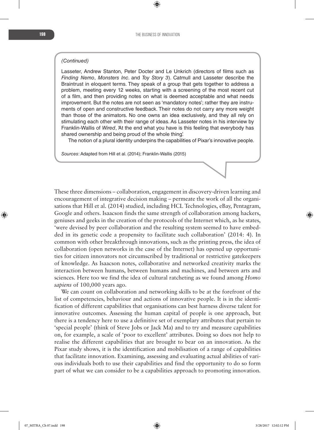#### *(Continued)*

Lasseter, Andrew Stanton, Peter Docter and Le Unkrich (directors of films such as *Finding Nemo*, *Monsters Inc.* and *Toy Story 3*). Catmull and Lasseter describe the Braintrust in eloquent terms. They speak of a group that gets together to address a problem, meeting every 12 weeks, starting with a screening of the most recent cut of a film, and then providing notes on what is deemed acceptable and what needs improvement. But the notes are not seen as 'mandatory notes'; rather they are instruments of open and constructive feedback. Their notes do not carry any more weight than those of the animators. No one owns an idea exclusively, and they all rely on stimulating each other with their range of ideas. As Lasseter notes in his interview by Franklin-Wallis of *Wired*, 'At the end what you have is this feeling that everybody has shared ownership and being proud of the whole thing'.

The notion of a plural identity underpins the capabilities of Pixar's innovative people.

*Sources*: Adapted from Hill et al. (2014); Franklin-Wallis (2015)

These three dimensions – collaboration, engagement in discovery-driven learning and encouragement of integrative decision making – permeate the work of all the organisations that Hill et al. (2014) studied, including HCL Technologies, eBay, Pentagram, Google and others. Isaacson finds the same strength of collaboration among hackers, geniuses and geeks in the creation of the protocols of the Internet which, as he states, 'were devised by peer collaboration and the resulting system seemed to have embedded in its genetic code a propensity to facilitate such collaboration' (2014: 4). In common with other breakthrough innovations, such as the printing press, the idea of collaboration (open networks in the case of the Internet) has opened up opportunities for citizen innovators not circumscribed by traditional or restrictive gatekeepers of knowledge. As Isaacson notes, collaborative and networked creativity marks the interaction between humans, between humans and machines, and between arts and sciences. Here too we find the idea of cultural ratcheting as we found among *Homo sapiens* of 100,000 years ago.

We can count on collaboration and networking skills to be at the forefront of the list of competencies, behaviour and actions of innovative people. It is in the identification of different capabilities that organisations can best harness diverse talent for innovative outcomes. Assessing the human capital of people is one approach, but there is a tendency here to use a definitive set of exemplary attributes that pertain to 'special people' (think of Steve Jobs or Jack Ma) and to try and measure capabilities on, for example, a scale of 'poor to excellent' attributes. Doing so does not help to realise the different capabilities that are brought to bear on an innovation. As the Pixar study shows, it is the identification and mobilisation of a range of capabilities that facilitate innovation. Examining, assessing and evaluating actual abilities of various individuals both to use their capabilities and find the opportunity to do so form part of what we can consider to be a capabilities approach to promoting innovation.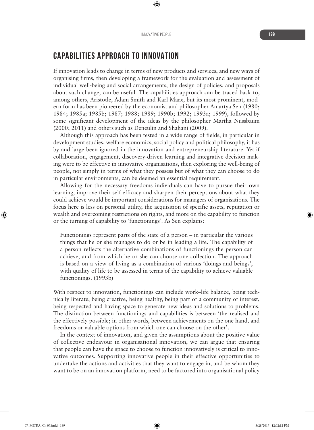## **CAPABILITIES APPROACH TO INNOVATION**

If innovation leads to change in terms of new products and services, and new ways of organising firms, then developing a framework for the evaluation and assessment of individual well-being and social arrangements, the design of policies, and proposals about such change, can be useful. The capabilities approach can be traced back to, among others, Aristotle, Adam Smith and Karl Marx, but its most prominent, modern form has been pioneered by the economist and philosopher Amartya Sen (1980; 1984; 1985a; 1985b; 1987; 1988; 1989; 1990b; 1992; 1993a; 1999), followed by some significant development of the ideas by the philosopher Martha Nussbaum (2000; 2011) and others such as Deneulin and Shahani (2009).

Although this approach has been tested in a wide range of fields, in particular in development studies, welfare economics, social policy and political philosophy, it has by and large been ignored in the innovation and entrepreneurship literature. Yet if collaboration, engagement, discovery-driven learning and integrative decision making were to be effective in innovative organisations, then exploring the well-being of people, not simply in terms of what they possess but of what they can choose to do in particular environments, can be deemed an essential requirement.

Allowing for the necessary freedoms individuals can have to pursue their own learning, improve their self-efficacy and sharpen their perceptions about what they could achieve would be important considerations for managers of organisations. The focus here is less on personal utility, the acquisition of specific assets, reputation or wealth and overcoming restrictions on rights, and more on the capability to function or the turning of capability to 'functionings'. As Sen explains:

Functionings represent parts of the state of a person – in particular the various things that he or she manages to do or be in leading a life. The capability of a person reflects the alternative combinations of functionings the person can achieve, and from which he or she can choose one collection. The approach is based on a view of living as a combination of various 'doings and beings', with quality of life to be assessed in terms of the capability to achieve valuable functionings. (1993b)

With respect to innovation, functionings can include work–life balance, being technically literate, being creative, being healthy, being part of a community of interest, being respected and having space to generate new ideas and solutions to problems. The distinction between functionings and capabilities is between 'the realised and the effectively possible; in other words, between achievements on the one hand, and freedoms or valuable options from which one can choose on the other'.

In the context of innovation, and given the assumptions about the positive value of collective endeavour in organisational innovation, we can argue that ensuring that people can have the space to choose to function innovatively is critical to innovative outcomes. Supporting innovative people in their effective opportunities to undertake the actions and activities that they want to engage in, and be whom they want to be on an innovation platform, need to be factored into organisational policy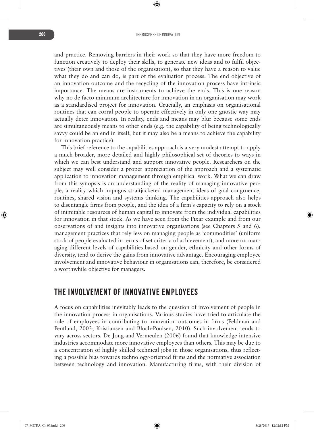and practice. Removing barriers in their work so that they have more freedom to function creatively to deploy their skills, to generate new ideas and to fulfil objectives (their own and those of the organisation), so that they have a reason to value what they do and can do, is part of the evaluation process. The end objective of an innovation outcome and the recycling of the innovation process have intrinsic importance. The means are instruments to achieve the ends. This is one reason why no de facto minimum architecture for innovation in an organisation may work as a standardised project for innovation. Crucially, an emphasis on organisational routines that can corral people to operate effectively in only one gnostic way may actually deter innovation. In reality, ends and means may blur because some ends are simultaneously means to other ends (e.g. the capability of being technologically savvy could be an end in itself, but it may also be a means to achieve the capability for innovation practice).

This brief reference to the capabilities approach is a very modest attempt to apply a much broader, more detailed and highly philosophical set of theories to ways in which we can best understand and support innovative people. Researchers on the subject may well consider a proper appreciation of the approach and a systematic application to innovation management through empirical work. What we can draw from this synopsis is an understanding of the reality of managing innovative people, a reality which impugns straitjacketed management ideas of goal congruence, routines, shared vision and systems thinking. The capabilities approach also helps to disentangle firms from people, and the idea of a firm's capacity to rely on a stock of inimitable resources of human capital to innovate from the individual capabilities for innovation in that stock. As we have seen from the Pixar example and from our observations of and insights into innovative organisations (see Chapters 5 and 6), management practices that rely less on managing people as 'commodities' (uniform stock of people evaluated in terms of set criteria of achievement), and more on managing different levels of capabilities-based on gender, ethnicity and other forms of diversity, tend to derive the gains from innovative advantage. Encouraging employee involvement and innovative behaviour in organisations can, therefore, be considered a worthwhile objective for managers.

## **THE INVOLVEMENT OF INNOVATIVE EMPLOYEES**

A focus on capabilities inevitably leads to the question of involvement of people in the innovation process in organisations. Various studies have tried to articulate the role of employees in contributing to innovation outcomes in firms (Feldman and Pentland, 2003; Kristiansen and Bloch-Poulsen, 2010). Such involvement tends to vary across sectors. De Jong and Vermeulen (2006) found that knowledge-intensive industries accommodate more innovative employees than others. This may be due to a concentration of highly skilled technical jobs in those organisations, thus reflecting a possible bias towards technology-oriented firms and the normative association between technology and innovation. Manufacturing firms, with their division of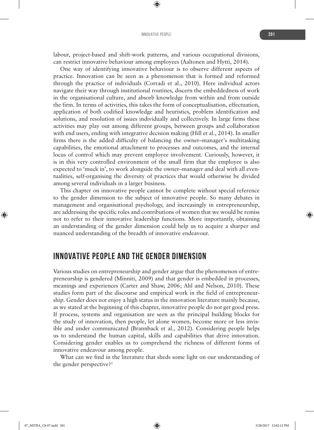labour, project-based and shift-work patterns, and various occupational divisions, can restrict innovative behaviour among employees (Aaltonen and Hytti, 2014).

One way of identifying innovative behaviour is to observe different aspects of practice. Innovation can be seen as a phenomenon that is formed and reformed through the practice of individuals (Corradi et al., 2010). Here individual actors navigate their way through institutional routines, discern the embeddedness of work in the organisational culture, and absorb knowledge from within and from outside the firm. In terms of activities, this takes the form of conceptualisation, effectuation, application of both codified knowledge and heuristics, problem identification and solutions, and resolution of issues individually and collectively. In large firms these activities may play out among different groups, between groups and collaboration with end users, ending with integrative decision making (Hill et al., 2014). In smaller firms there is the added difficulty of balancing the owner–manager's multitasking capabilities, the emotional attachment to processes and outcomes, and the internal locus of control which may prevent employee involvement. Curiously, however, it is in this very controlled environment of the small firm that the employee is also expected to 'muck in', to work alongside the owner–manager and deal with all eventualities, self-organising the diversity of practices that would otherwise be divided among several individuals in a larger business.

This chapter on innovative people cannot be complete without special reference to the gender dimension to the subject of innovative people. So many debates in management and organisational psychology, and increasingly in entrepreneurship, are addressing the specific roles and contributions of women that we would be remiss not to refer to their innovative leadership functions. More importantly, obtaining an understanding of the gender dimension could help us to acquire a sharper and nuanced understanding of the breadth of innovative endeavour.

## **INNOVATIVE PEOPLE AND THE GENDER DIMENSION**

Various studies on entrepreneurship and gender argue that the phenomenon of entrepreneurship is gendered (Minniti, 2009) and that gender is embedded in processes, meanings and experiences (Carter and Shaw, 2006; Ahl and Nelson, 2010). These studies form part of the discourse and empirical work in the field of entrepreneurship. Gender does not enjoy a high status in the innovation literature mainly because, as we stated at the beginning of this chapter, innovative people do not get good press. If process, systems and organisation are seen as the principal building blocks for the study of innovation, then people, let alone women, become more or less invisible and under communicated (Brannback et al., 2012). Considering people helps us to understand the human capital, skills and capabilities that drive innovation. Considering gender enables us to comprehend the richness of different forms of innovative endeavour among people.

What can we find in the literature that sheds some light on our understanding of the gender perspective?1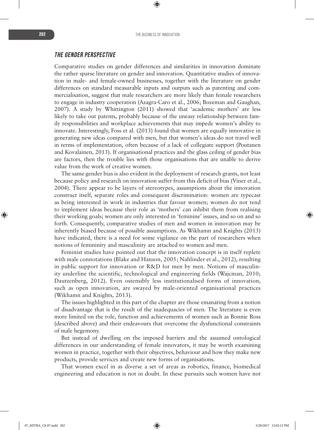#### **The Gender Perspective**

Comparative studies on gender differences and similarities in innovation dominate the rather sparse literature on gender and innovation. Quantitative studies of innovation in male- and female-owned businesses, together with the literature on gender differences on standard measurable inputs and outputs such as patenting and commercialisation, suggest that male researchers are more likely than female researchers to engage in industry cooperation (Azagra-Caro et al., 2006; Bozeman and Gaughan, 2007). A study by Whittington (2011) showed that 'academic mothers' are less likely to take out patents, probably because of the uneasy relationship between family responsibilities and workplace achievements that may impede women's ability to innovate. Interestingly, Foss et al. (2013) found that women are equally innovative in generating new ideas compared with men, but that women's ideas do not travel well in terms of implementation, often because of a lack of collegiate support (Poutanen and Kovalainen, 2013). If organisational practices and the glass ceiling of gender bias are factors, then the trouble lies with those organisations that are unable to derive value from the work of creative women.

The same gender bias is also evident in the deployment of research grants, not least because policy and research on innovation suffer from this deficit of bias (Viner et al., 2004). There appear to be layers of stereotypes, assumptions about the innovation construct itself, separate roles and consequent discrimination: women are typecast as being interested in work in industries that favour women; women do not tend to implement ideas because their role as 'mothers' can inhibit them from realising their working goals; women are only interested in 'feminine' issues, and so on and so forth. Consequently, comparative studies of men and women in innovation may be inherently biased because of possible assumptions. As Wikhamn and Knights (2013) have indicated, there is a need for some vigilance on the part of researchers when notions of femininity and masculinity are attached to women and men.

Feminist studies have pointed out that the innovation concept is in itself replete with male connotations (Blake and Hanson, 2005; Nahlinder et al., 2012), resulting in public support for innovation or R&D for men by men. Notions of masculinity underline the scientific, technological and engineering fields (Wajcman, 2010; Dautzenberg, 2012). Even ostensibly less institutionalised forms of innovation, such as open innovation, are swayed by male-oriented organisational practices (Wikhamn and Knights, 2013).

The issues highlighted in this part of the chapter are those emanating from a notion of disadvantage that is the result of the inadequacies of men. The literature is even more limited on the role, function and achievements of women such as Bonnie Ross (described above) and their endeavours that overcome the dysfunctional constraints of male hegemony.

But instead of dwelling on the imposed barriers and the assumed ontological differences in our understanding of female innovators, it may be worth examining women in practice, together with their objectives, behaviour and how they make new products, provide services and create new forms of organisations.

That women excel in as diverse a set of areas as robotics, finance, biomedical engineering and education is not in doubt. In these pursuits such women have not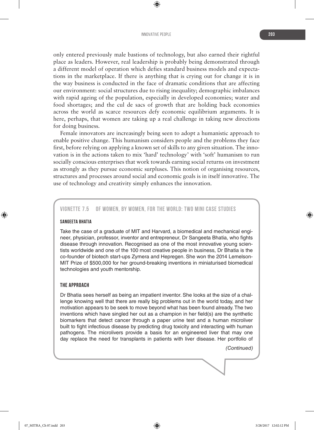only entered previously male bastions of technology, but also earned their rightful place as leaders. However, real leadership is probably being demonstrated through a different model of operation which defies standard business models and expectations in the marketplace. If there is anything that is crying out for change it is in the way business is conducted in the face of dramatic conditions that are affecting our environment: social structures due to rising inequality; demographic imbalances with rapid ageing of the population, especially in developed economies; water and food shortages; and the cul de sacs of growth that are holding back economies across the world as scarce resources defy economic equilibrium arguments. It is here, perhaps, that women are taking up a real challenge in taking new directions for doing business.

Female innovators are increasingly being seen to adopt a humanistic approach to enable positive change. This humanism considers people and the problems they face first, before relying on applying a known set of skills to any given situation. The innovation is in the actions taken to mix 'hard' technology' with 'soft' humanism to run socially conscious enterprises that work towards earning social returns on investment as strongly as they pursue economic surpluses. This notion of organising resources, structures and processes around social and economic goals is in itself innovative. The use of technology and creativity simply enhances the innovation.

#### **VIGNETTE 7.5 OF WOMEN, BY WOMEN, FOR THE WORLD: TWO MINI CASE STUDIES**

#### **Sangeeta Bhatia**

Take the case of a graduate of MIT and Harvard, a biomedical and mechanical engineer, physician, professor, inventor and entrepreneur, Dr Sangeeta Bhatia, who fights disease through innovation. Recognised as one of the most innovative young scientists worldwide and one of the 100 most creative people in business, Dr Bhatia is the co-founder of biotech start-ups Zymera and Hepregen. She won the 2014 Lemelson-MIT Prize of \$500,000 for her ground-breaking inventions in miniaturised biomedical technologies and youth mentorship.

#### **The Approach**

Dr Bhatia sees herself as being an impatient inventor. She looks at the size of a challenge knowing well that there are really big problems out in the world today, and her motivation appears to be seek to move beyond what has been found already. The two inventions which have singled her out as a champion in her field(s) are the synthetic biomarkers that detect cancer through a paper urine test and a human microliver built to fight infectious disease by predicting drug toxicity and interacting with human pathogens. The microlivers provide a basis for an engineered liver that may one day replace the need for transplants in patients with liver disease. Her portfolio of

*(Continued)*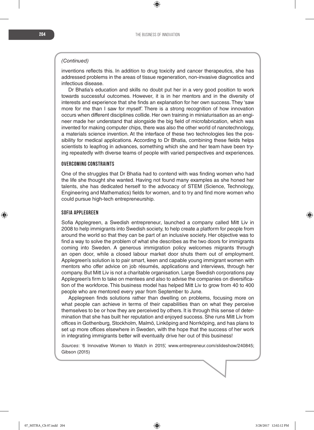#### *(Continued)*

inventions reflects this. In addition to drug toxicity and cancer therapeutics, she has addressed problems in the areas of tissue regeneration, non-invasive diagnostics and infectious disease.

Dr Bhatia's education and skills no doubt put her in a very good position to work towards successful outcomes. However, it is in her mentors and in the diversity of interests and experience that she finds an explanation for her own success. They 'saw more for me than I saw for myself'. There is a strong recognition of how innovation occurs when different disciplines collide. Her own training in miniaturisation as an engineer made her understand that alongside the big field of microfabrication, which was invented for making computer chips, there was also the other world of nanotechnology, a materials science invention. At the interface of these two technologies lies the possibility for medical applications. According to Dr Bhatia, combining these fields helps scientists to leapfrog in advances, something which she and her team have been trying repeatedly with diverse teams of people with varied perspectives and experiences.

#### **Overcoming Constraints**

One of the struggles that Dr Bhatia had to contend with was finding women who had the life she thought she wanted. Having not found many examples as she honed her talents, she has dedicated herself to the advocacy of STEM (Science, Technology, Engineering and Mathematics) fields for women, and to try and find more women who could pursue high-tech entrepreneurship.

#### **Sofia Applegreen**

Sofia Applegreen, a Swedish entrepreneur, launched a company called Mitt Liv in 2008 to help immigrants into Swedish society, to help create a platform for people from around the world so that they can be part of an inclusive society. Her objective was to find a way to solve the problem of what she describes as the two doors for immigrants coming into Sweden. A generous immigration policy welcomes migrants through an open door, while a closed labour market door shuts them out of employment. Applegreen's solution is to pair smart, keen and capable young immigrant women with mentors who offer advice on job résumés, applications and interviews, through her company. But Mitt Liv is not a charitable organisation. Large Swedish corporations pay Applegreen's firm to take on mentees and also to advise the companies on diversification of the workforce. This business model has helped Mitt Liv to grow from 40 to 400 people who are mentored every year from September to June.

Applegreen finds solutions rather than dwelling on problems, focusing more on what people can achieve in terms of their capabilities than on what they perceive themselves to be or how they are perceived by others. It is through this sense of determination that she has built her reputation and enjoyed success. She runs Mitt Liv from offices in Gothenburg, Stockholm, Malmö, Linköping and Norrköping, and has plans to set up more offices elsewhere in Sweden, with the hope that the success of her work in integrating immigrants better will eventually drive her out of this business!

*Sources*: '6 Innovative Women to Watch in 2015', www.entrepreneur.com/slideshow/240845; Gibson (2015)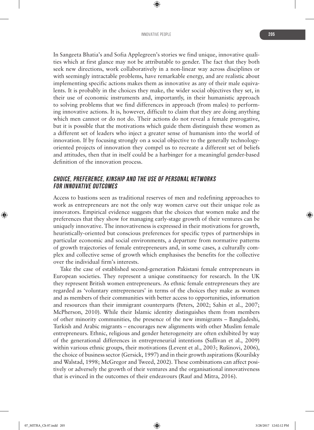In Sangeeta Bhatia's and Sofia Applegreen's stories we find unique, innovative qualities which at first glance may not be attributable to gender. The fact that they both seek new directions, work collaboratively in a non-linear way across disciplines or with seemingly intractable problems, have remarkable energy, and are realistic about implementing specific actions makes them as innovative as any of their male equivalents. It is probably in the choices they make, the wider social objectives they set, in their use of economic instruments and, importantly, in their humanistic approach to solving problems that we find differences in approach (from males) to performing innovative actions. It is, however, difficult to claim that they are doing anything which men cannot or do not do. Their actions do not reveal a female prerogative, but it is possible that the motivations which guide them distinguish these women as a different set of leaders who inject a greater sense of humanism into the world of innovation. If by focusing strongly on a social objective to the generally technologyoriented projects of innovation they compel us to recreate a different set of beliefs and attitudes, then that in itself could be a harbinger for a meaningful gender-based definition of the innovation process.

### **Choice, Preference, Kinship and the use of Personal Networks for Innovative Outcomes**

Access to bastions seen as traditional reserves of men and redefining approaches to work as entrepreneurs are not the only way women carve out their unique role as innovators. Empirical evidence suggests that the choices that women make and the preferences that they show for managing early-stage growth of their ventures can be uniquely innovative. The innovativeness is expressed in their motivations for growth, heuristically-oriented but conscious preferences for specific types of partnerships in particular economic and social environments, a departure from normative patterns of growth trajectories of female entrepreneurs and, in some cases, a culturally complex and collective sense of growth which emphasises the benefits for the collective over the individual firm's interests.

Take the case of established second-generation Pakistani female entrepreneurs in European societies. They represent a unique constituency for research. In the UK they represent British women entrepreneurs. As ethnic female entrepreneurs they are regarded as 'voluntary entrepreneurs' in terms of the choices they make as women and as members of their communities with better access to opportunities, information and resources than their immigrant counterparts (Peters, 2002; Sahin et al., 2007; McPherson, 2010). While their Islamic identity distinguishes them from members of other minority communities, the presence of the new immigrants – Bangladeshi, Turkish and Arabic migrants – encourages new alignments with other Muslim female entrepreneurs. Ethnic, religious and gender heterogeneity are often exhibited by way of the generational differences in entrepreneurial intentions (Sullivan et al., 2009) within various ethnic groups, their motivations (Levent et al., 2003; Rušinovi, 2006), the choice of business sector (Gersick, 1997) and in their growth aspirations (Kourilsky and Walstad, 1998; McGregor and Tweed, 2002). These combinations can affect positively or adversely the growth of their ventures and the organisational innovativeness that is evinced in the outcomes of their endeavours (Rauf and Mitra, 2016).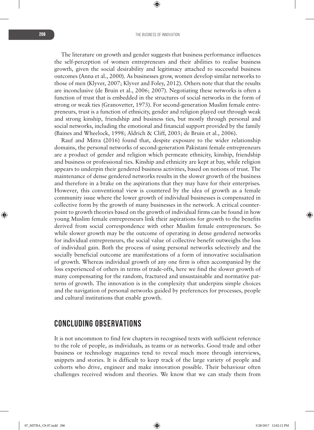The literature on growth and gender suggests that business performance influences the self-perception of women entrepreneurs and their abilities to realise business growth, given the social desirability and legitimacy attached to successful business outcomes (Anna et al., 2000). As businesses grow, women develop similar networks to those of men (Klyver, 2007; Klyver and Foley, 2012). Others note that that the results are inconclusive (de Bruin et al., 2006; 2007). Negotiating these networks is often a function of trust that is embedded in the structures of social networks in the form of strong or weak ties (Granovetter, 1973). For second-generation Muslim female entrepreneurs, trust is a function of ethnicity, gender and religion played out through weak and strong kinship, friendship and business ties, but mostly through personal and social networks, including the emotional and financial support provided by the family (Baines and Wheelock, 1998; Aldrich & Cliff, 2003; de Bruin et al., 2006).

Rauf and Mitra (2016) found that, despite exposure to the wider relationship domains, the personal networks of second-generation Pakistani female entrepreneurs are a product of gender and religion which permeate ethnicity, kinship, friendship and business or professional ties. Kinship and ethnicity are kept at bay, while religion appears to underpin their gendered business activities, based on notions of trust. The maintenance of dense gendered networks results in the slower growth of the business and therefore in a brake on the aspirations that they may have for their enterprises. However, this conventional view is countered by the idea of growth as a female community issue where the lower growth of individual businesses is compensated in collective form by the growth of many businesses in the network. A critical counterpoint to growth theories based on the growth of individual firms can be found in how young Muslim female entrepreneurs link their aspirations for growth to the benefits derived from social correspondence with other Muslim female entrepreneurs. So while slower growth may be the outcome of operating in dense gendered networks for individual entrepreneurs, the social value of collective benefit outweighs the loss of individual gain. Both the process of using personal networks selectively and the socially beneficial outcome are manifestations of a form of innovative socialisation of growth. Whereas individual growth of any one firm is often accompanied by the loss experienced of others in terms of trade-offs, here we find the slower growth of many compensating for the random, fractured and unsustainable and normative patterns of growth. The innovation is in the complexity that underpins simple choices and the navigation of personal networks guided by preferences for processes, people and cultural institutions that enable growth.

## **CONCLUDING OBSERVATIONS**

It is not uncommon to find few chapters in recognised texts with sufficient reference to the role of people, as individuals, as teams or as networks. Good trade and other business or technology magazines tend to reveal much more through interviews, snippets and stories. It is difficult to keep track of the large variety of people and cohorts who drive, engineer and make innovation possible. Their behaviour often challenges received wisdom and theories. We know that we can study them from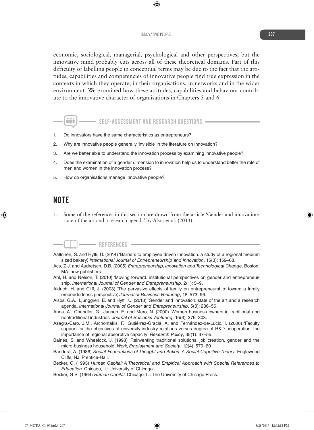economic, sociological, managerial, psychological and other perspectives, but the innovative mind probably cuts across all of these theoretical domains. Part of this difficulty of labelling people in conceptual terms may be due to the fact that the attitudes, capabilities and competencies of innovative people find true expression in the contexts in which they operate, in their organisations, in networks and in the wider environment. We examined how these attitudes, capabilities and behaviour contribute to the innovative character of organisations in Chapters 5 and 6.

## **Self-assessment and Research Questions**

- 1. Do innovators have the same characteristics as entrepreneurs?
- 2. Why are innovative people generally 'invisible' in the literature on innovation?
- 3. Are we better able to understand the innovation process by examining innovative people?
- 4. Does the examination of a gender dimension to innovation help us to understand better the role of men and women in the innovation process?
- 5. How do organisations manage innovative people?

 $-$  REFERENCES  $-$ 

## **NOTE**

1. Some of the references in this section are drawn from the article 'Gender and innovation: state of the art and a research agenda' by Alsos et al. (2013).

#### Aaltonen, S. and Hytti, U. (2014) 'Barriers to employee driven innovation: a study of a regional medium sized bakery', *International Journal of Entrepreneurship and Innovation*, 15(3): 159–68.

Acs, Z.J. and Audretsch, D.B. (2005) *Entrepreneurship, Innovation and Technological Change*. Boston, MA: now publishers.

Ahl, H. and Nelson, T. (2010) 'Moving forward: institutional perspectives on gender and entrepreneurship', *International Journal of Gender and Entrepreneurship*, 2(1): 5–9.

- Aldrich, H. and Cliff, J. (2003) 'The pervasive effects of family on entrepreneurship: toward a family embeddedness perspective', *Journal of Business Venturing*, 18: 573–96.
- Alsos, G.A., Ljunggren, E. and Hytti, U. (2013) 'Gender and innovation: state of the art and a research agenda', *International Journal of Gender and Entrepreneurship*, 5(3): 236–56.
- Anna, A., Chandler, G., Jansen, E. and Mero, N. (2000) 'Women business owners in traditional and nontraditional industries', *Journal of Business Venturing*, 15(3): 279–303.
- Azagra-Caro, J.M., Archontakis, F., Gutiérrez-Gracia, A. and Fernández-de-Lucio, I. (2006) 'Faculty support for the objectives of university-industry relations versus degree of R&D cooperation: the importance of regional absorptive capacity', *Research Policy*, 35(1): 37–55.
- Baines, S. and Wheelock, J. (1998) 'Reinventing traditional solutions: job creation, gender and the micro-business household', *Work, Employment and Society*, 12(4): 579–601.
- Bandura, A. (1986) *Social Foundations of Thought and Action: A Social Cognitive Theory*. Englewood Cliffs, NJ: Prentice-Hall.
- Becker, G. (1993) *Human Capital: A Theoretical and Empirical Approach with Special References to Education*. Chicago, IL: University of Chicago.
- Becker, G.S. (1964) *Human Capital*. Chicago, IL: The University of Chicago Press.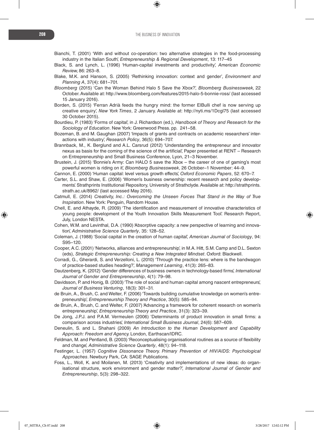Bianchi, T. (2001) 'With and without co-operation: two alternative strategies in the food-processing industry in the Italian South', *Entrepreneurship & Regional Development*, 13: 117–45

- Black, S. and Lynch, L. (1996) 'Human-capital investments and productivity', *American Economic Review,* 86: 263–8.
- Blake, M.K. and Hanson, S. (2005) 'Rethinking innovation: context and gender'*, Environment and Planning A*, 37(4): 681–701.
- *Bloomberg* (2015) 'Can the Woman Behind Halo 5 Save the Xbox?', *Bloomberg Businessweek,* 22 October. Available at: http://www.bloomberg.com/features/2015-halo-5-bonnie-ross/ (last accessed 15 January 2016).
- Borden, S. (2015) 'Ferran Adrià feeds the hungry mind: the former ElBulli chef is now serving up creative enquiry', *New York Times*, 2 January. Available at: http://nyti.ms/1Dcgl75 (last accessed 30 October 2015).
- Bourdieu, P. (1983) 'Forms of capital', in J. Richardson (ed.), *Handbook of Theory and Research for the Sociology of Education*. New York: Greenwood Press. pp. 241–58.
- Bozeman, B. and M. Gaughan (2007) 'Impacts of grants and contracts on academic researchers' interactions with industry', *Research Policy*, 36(5): 694–707.
- Brannback, M., K. Berglund and A.L. Carsrud (2012) 'Understanding the entrepreneur and innovator nexus as basis for the coming of the science of the artificial', Paper presented at RENT – Research on Entrepreneurship and Small Business Conference, Lyon, 21–3 November.
- Brustein, J. (2015) 'Bonnie's Army: Can HALO 5 save the Xbox the career of one of gaming's most powerful women is riding on it', *Bloomberg Businessweek*, 26 October–1 November: 44–9.
- Cannon, E. (2000) 'Human capital: level versus growth effects', *Oxford Economic Papers*, 52: 670–7.
- Carter, S.L. and Shaw, E. (2006) 'Women's business ownership: recent research and policy developments'. Strathprints Institutional Repository, University of Strathclyde. Available at: http://strathprints. strath.ac.uk/8962/ (last accessed May 2016).
- Catmull, E. (2014) *Creativity, Inc.: Overcoming the Unseen Forces That Stand in the Way of True Inspiration*. New York: Penguin, Random House.
- Chell, E. and Athayde, R. (2009) 'The identification and measurement of innovative characteristics of young people: development of the Youth Innovation Skills Measurement Tool'. Research Report, July, London NESTA.
- Cohen, W.M. and Levinthal, D.A. (1990) 'Absorptive capacity: a new perspective of learning and innovation', *Administrative Science Quarterly*, 35: 128–52.
- Coleman, J. (1988) 'Social capital in the creation of human capital', *American Journal of Sociology*, 94: S95–120.
- Cooper, A.C. (2001) 'Networks, alliances and entrepreneurship', in M.A. Hitt, S.M. Camp and D.L. Sexton (eds), *Strategic Entrepreneurship: Creating a New Integrated Mindset*. Oxford: Blackwell.
- Corradi, G., Gherardi, S. and Verzelloni, L. (2010) 'Through the practice lens: where is the bandwagon of practice-based studies heading?', *Management Learning*, 41(3): 265–83.
- Dautzenberg, K. (2012) 'Gender differences of business owners in technology-based firms', *International Journal of Gender and Entrepreneurship*, 4(1): 79–98.
- Davidsson, P. and Honig, B. (2003) 'The role of social and human capital among nascent entrepreneurs', *Journal of Business Venturing*, 18(3): 301–31.
- de Bruin, A., Brush, C. and Welter, F. (2006) 'Towards building cumulative knowledge on women's entrepreneurship', *Entrepreneurship Theory and Practice*, 30(5): 585–94.
- de Bruin, A., Brush, C. and Welter, F. (2007) 'Advancing a framework for coherent research on women's entrepreneurship', *Entrepreneurship Theory and Practice*, 31(3): 323–39.
- De Jong, J.P.J. and P.A.M. Vermeulen (2006) 'Determinants of product innovation in small firms: a comparison across industries', *International Small Business Journal*, 24(6): 587–609.
- Deneulin, S. and L. Shahani (2009) *An Introduction to the Human Development and Capability Approach: Freedom and Agency.* London, Earthscan/IDRC.
- Feldman, M. and Pentland, B. (2003) 'Reconceptualising organisational routines as a source of flexibility and change', *Administrative Science Quarterly*, 48(1): 94–118.
- Festinger, L. (1957) *Cognitive Dissonance Theory. Primary Prevention of HIV/AIDS: Psychological Approaches*. Newbury Park, CA: SAGE Publications.
- Foss, L., Woll, K. and Moilanen, M. (2013) 'Creativity and implementations of new ideas: do organisational structure, work environment and gender matter?', *International Journal of Gender and Entrepreneurship*, 5(3): 298–322.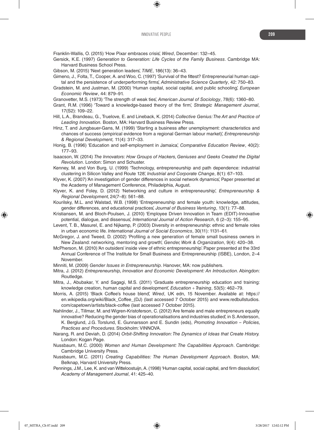Franklin-Wallis, O. (2015) 'How Pixar embraces crisis', *Wired*, December: 132–45.

- Gersick, K.E. (1997) *Generation to Generation: Life Cycles of the Family Business*. Cambridge MA: Harvard Business School Press.
- Gibson, M. (2015) 'Next generation leaders', *TIME*, 186(13): 36–43.
- Gimeno, J., Folta, T., Cooper, A. and Woo, C. (1997) 'Survival of the fittest? Entrepreneurial human capital and the persistence of underperforming firms', *Administrative Science Quarterly*, 42: 750–83.
- Gradstein, M. and Justman, M. (2000) 'Human capital, social capital, and public schooling', *European Economic Review*, 44: 879–91.
- Granovetter, M.S. (1973) 'The strength of weak ties', *American Journal of Sociology*, 78(6): 1360–80.
- Grant, R.M. (1996) 'Toward a knowledge-based theory of the firm', *Strategic Management Journal*, 17(S2): 109–22.
- Hill, L.A., Brandeau, G., Truelove, E. and Lineback, K. (2014) *Collective Genius: The Art and Practice of Leading Innovation.* Boston, MA: Harvard Business Review Press.
- Hinz, T. and Jungbauer-Gans, M. (1999) 'Starting a business after unemployment: characteristics and chances of success (empirical evidence from a regional German labour market)', *Entrepreneurship & Regional Development,* 11(4): 317–33.
- Honig, B. (1996) 'Education and self-employment in Jamaica', *Comparative Education Review*, 40(2): 177–93.
- Isaacson, W. (2014) *The Innovators: How Groups of Hackers, Geniuses and Geeks Created the Digital Revolution*. London: Simon and Schuster.
- Kenney, M. and Von Burg, U. (1999) 'Technology, entrepreneurship and path dependence: industrial clustering in Silicon Valley and Route 128', *Industrial and Corporate Change*, 8(1): 67–103.
- Klyver, K. (2007) 'An investigation of gender differences in social network dynamics', Paper presented at the Academy of Management Conference, Philadelphia, August.
- Klyver, K. and Foley, D. (2012) 'Networking and culture in entrepreneurship', *Entrepreneurship & Regional Development,* 24(7–8): 561–88.
- Kourilsky, M.L. and Walstad, W.B. (1998) 'Entrepreneurship and female youth: knowledge, attitudes, gender differences, and educational practices', *Journal of Business Venturing*, 13(1): 77–88.
- Kristiansen, M. and Bloch-Poulsen, J. (2010) 'Employee Driven Innovation in Team (EDIT)-Innovative potential, dialogue, and dissensus', *International Journal of Action Research*, 6 (2–3): 155–95.
- Levent, T. B., Masurel, E. and Nijkamp, P. (2003) Diversity in entrepreneurship: ethnic and female roles in urban economic life. *International Journal of Social Economics*, 30(11): 1131–61.
- McGregor, J. and Tweed, D. (2002) 'Profiling a new generation of female small business owners in New Zealand: networking, mentoring and growth', *Gender, Work & Organization*, 9(4): 420–38.
- McPherson, M. (2010) 'An outsiders' inside view of ethnic entrepreneurship'. Paper presented at the 33rd Annual Conference of The Institute for Small Business and Entrepreneurship (ISBE), London, 2–4 November.
- Minniti, M. (2009) *Gender Issues in Entrepreneurship*. Hanover, MA: now publishers.
- Mitra, J. (2012) *Entrepreneurship, Innovation and Economic Development: An Introduction*. Abingdon: Routledge.
- Mitra, J., Abubakar, Y. and Sagagi, M.S. (2011) 'Graduate entrepreneurship education and training: knowledge creation, human capital and development', *Education* + *Training*, 53(5): 462–79.
- Morris, A. (2015) 'Black Coffee's house blend', *Wired*, UK edn, 15 November. Available at: https:// en.wikipedia.org/wiki/Black\_Coffee\_(DJ) (last accessed 7 October 2015) and www.redbullstudios. com/capetown/artists/black-coffee (last accessed 7 October 2015).
- Nahlinder, J., Tillmar, M. and Wigren-Kristoferson, C. (2012) 'Are female and male entrepreneurs equally innovative? Reducing the gender bias of operationalisations and industries studied', in S. Andersson, K. Berglund, J.G. Torslund, E. Gunnarsson and E. Sundin (eds), *Promoting Innovation – Policies, Practices and Procedures.* Stockholm: VINNOVA.
- Narang, R. and Deviah, D. (2014) *Orbit-Shifting Innovation: The Dynamics of Ideas that Create History.* London: Kogan Page.
- Nussbaum, M.C. (2000) *Women and Human Development: The Capabilities Approach*. Cambridge: Cambridge University Press.
- Nussbaum, M.C. (2011) *Creating Capabilities: The Human Development Approach*. Boston, MA: Belknap, Harvard University Press.
- Pennings, J.M., Lee, K. and van Witteloostuijn, A. (1998) 'Human capital, social capital, and firm dissolution', *Academy of Management Journal*, 41: 425–40.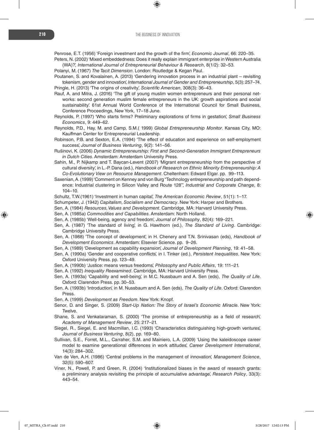Penrose, E.T. (1956) 'Foreign investment and the growth of the firm', *Economic Journal*, 66: 220–35.

Peters, N. (2002) 'Mixed embeddedness: Does it really explain immigrant enterprise in Western Australia (WA)?', *International Journal of Entrepreneurial Behaviour & Research*, 8(1/2): 32–53.

Polanyi, M. (1967) *The Tacit Dimension*. London: Routledge & Kegan Paul.

- Poutanen, S. and Kovalainen, A. (2013) 'Gendering innovation process in an industrial plant revisiting tokenism, gender and innovation', *International Journal of Gender and Entrepreneurship*, 5(3): 257–74. Pringle, H. (2013) 'The origins of creativity', *Scientific American*, 308(3): 36–43.
- Rauf, A. and Mitra, J. (2016) 'The gift of young muslim women entrepreneurs and their personal networks: second generation muslim female entrepreneurs in the UK: growth aspirations and social sustainability'. 61st Annual World Conference of the International Council for Small Business, Conference Proceedings, New York, 17–18 June.
- Reynolds, P. (1997) 'Who starts firms? Preliminary explorations of firms in gestation', *Small Business Economics*, 9: 449–62.
- Reynolds, P.D., Hay, M. and Camp, S.M.( 1999) *Global Entrepreneurship Monitor*. Kansas City, MO: Kauffman Center for Entrepreneurial Leadership.
- Robinson, P.B. and Sexton, E.A. (1994) 'The effect of education and experience on self-employment success', *Journal of Business Venturing*, 9(2): 141–56.
- Rušinovi, K. (2006) *Dynamic Entrepreneurship: First and Second-Generation Immigrant Entrepreneurs in Dutch Cities*. Amsterdam: Amsterdam University Press.
- Sahin, M., P. Nijkamp and T. Baycan-Levent (2007) 'Migrant entrepreneurship from the perspective of cultural diversity', in L.-P. Dana (ed.), *Handbook of Research on Ethnic Minority Entrepreneurship: A Co-Evolutionary View on Resource Management*. Cheltenham: Edward Elgar. pp. 99–113.
- Saxenian, A. (1999) 'Comment on Kenney and von Burg "Technology entrepreneurship and path dependence: Industrial clustering in Silicon Valley and Route 128"', *Industrial and Corporate Change*, 8: 104–10.
- Schultz, T.W.(1961) 'Investment in human capital', *The American Economic Review*, 51(1): 1–17.
- Schumpeter, J. (1942) *Capitalism, Socialism and Democracy*. New York: Harper and Brothers.
- Sen, A. (1984) *Resources, Values and Development*. Cambridge, MA: Harvard University Press.
- Sen, A. (1985a) *Commodities and Capabilities*. Amsterdam: North Holland.
- Sen, A. (1985b) 'Well-being, agency and freedom', *Journal of Philosophy*, 82(4): 169–221.
- Sen, A. (1987) 'The standard of living', in G. Hawthorn (ed.), *The Standard of Living*. Cambridge: Cambridge University Press.
- Sen, A. (1988) 'The concept of development', in H. Chenery and T.N. Srinivasan (eds), *Handbook of Development Economics*. Amsterdam: Elsevier Science. pp. 9–26.
- Sen, A. (1989) 'Development as capability expansion', *Journal of Development Planning*, 19: 41–58.
- Sen, A. (1990a) 'Gender and cooperative conflicts', in I. Tinker (ed.), *Persistent Inequalities*. New York: Oxford University Press. pp. 123–49.
- Sen, A. (1990b) 'Justice: means versus freedoms', *Philosophy and Public Affairs*, 19: 111–21.
- Sen, A. (1992) *Inequality Reexamined*. Cambridge, MA: Harvard University Press.
- Sen, A. (1993a) 'Capability and well-being', in M.C. Nussbaum and A. Sen (eds), *The Quality of Life*. Oxford: Clarendon Press. pp. 30–53.
- Sen, A. (1993b) 'Introduction', in M. Nussbaum and A. Sen (eds), *The Quality of Life*. Oxford: Clarendon Press.
- Sen, A. (1999) *Development as Freedom*. New York: Knopf.
- Senor, D. and Singer, S. (2009) Start-Up Nation: The Story of Israel's Economic Miracle. New York: Twelve.
- Shane, S. and Venkataraman, S. (2000) 'The promise of entrepreneurship as a field of research', *Academy of Management Review*, 25: 217–21.
- Siegel, R., Siegel, E. and Macmillan, I.C. (1993) 'Characteristics distinguishing high-growth ventures', *Journal of Business Venturing*, 8(2), pp. 169–80.
- Sullivan, S.E., Forret, M.L., Carraher, S.M. and Mainiero, L.A. (2009) 'Using the kaleidoscope career model to examine generational differences in work attitudes', *Career Development International*, 14(3): 284–302.
- Van de Ven, A.H. (1986) 'Central problems in the management of innovation', *Management Science*, 32(5): 590–607.
- Viner, N., Powell, P. and Green, R. (2004) 'Institutionalized biases in the award of research grants: a preliminary analysis revisiting the principle of accumulative advantage', *Research Policy*, 33(3): 443–54.